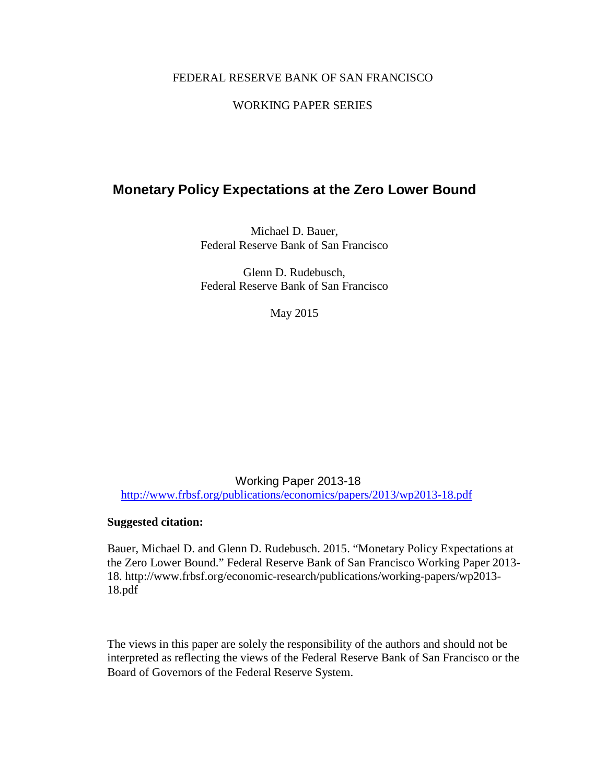#### FEDERAL RESERVE BANK OF SAN FRANCISCO

#### WORKING PAPER SERIES

### **Monetary Policy Expectations at the Zero Lower Bound**

Michael D. Bauer, Federal Reserve Bank of San Francisco

Glenn D. Rudebusch, Federal Reserve Bank of San Francisco

May 2015

Working Paper 2013-18 <http://www.frbsf.org/publications/economics/papers/2013/wp2013-18.pdf>

#### **Suggested citation:**

Bauer, Michael D. and Glenn D. Rudebusch. 2015. "Monetary Policy Expectations at the Zero Lower Bound." Federal Reserve Bank of San Francisco Working Paper 2013- 18. http://www.frbsf.org/economic-research/publications/working-papers/wp2013- 18.pdf

The views in this paper are solely the responsibility of the authors and should not be interpreted as reflecting the views of the Federal Reserve Bank of San Francisco or the Board of Governors of the Federal Reserve System.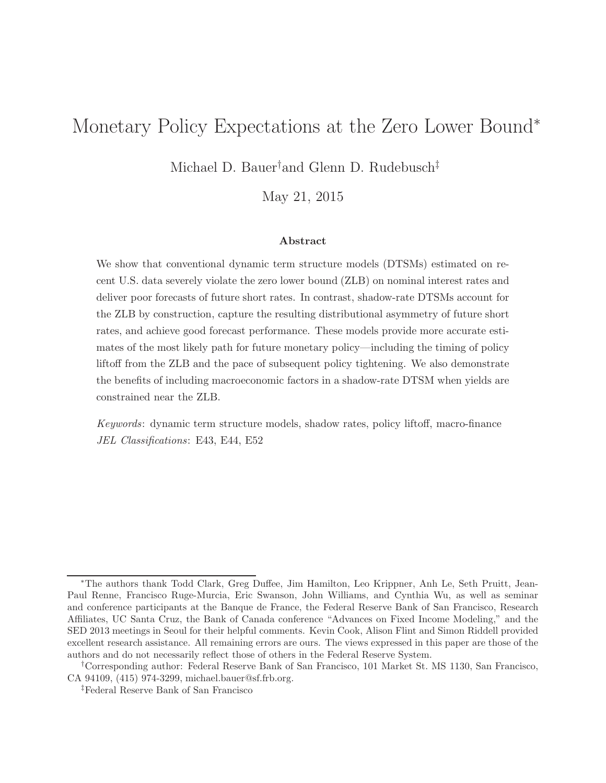# Monetary Policy Expectations at the Zero Lower Bound<sup>∗</sup>

Michael D. Bauer†and Glenn D. Rudebusch‡

May 21, 2015

#### Abstract

We show that conventional dynamic term structure models (DTSMs) estimated on recent U.S. data severely violate the zero lower bound (ZLB) on nominal interest rates and deliver poor forecasts of future short rates. In contrast, shadow-rate DTSMs account for the ZLB by construction, capture the resulting distributional asymmetry of future short rates, and achieve good forecast performance. These models provide more accurate estimates of the most likely path for future monetary policy—including the timing of policy liftoff from the ZLB and the pace of subsequent policy tightening. We also demonstrate the benefits of including macroeconomic factors in a shadow-rate DTSM when yields are constrained near the ZLB.

Keywords: dynamic term structure models, shadow rates, policy liftoff, macro-finance JEL Classifications: E43, E44, E52

<sup>∗</sup>The authors thank Todd Clark, Greg Duffee, Jim Hamilton, Leo Krippner, Anh Le, Seth Pruitt, Jean-Paul Renne, Francisco Ruge-Murcia, Eric Swanson, John Williams, and Cynthia Wu, as well as seminar and conference participants at the Banque de France, the Federal Reserve Bank of San Francisco, Research Affiliates, UC Santa Cruz, the Bank of Canada conference "Advances on Fixed Income Modeling," and the SED 2013 meetings in Seoul for their helpful comments. Kevin Cook, Alison Flint and Simon Riddell provided excellent research assistance. All remaining errors are ours. The views expressed in this paper are those of the authors and do not necessarily reflect those of others in the Federal Reserve System.

<sup>†</sup>Corresponding author: Federal Reserve Bank of San Francisco, 101 Market St. MS 1130, San Francisco, CA 94109, (415) 974-3299, michael.bauer@sf.frb.org.

<sup>‡</sup>Federal Reserve Bank of San Francisco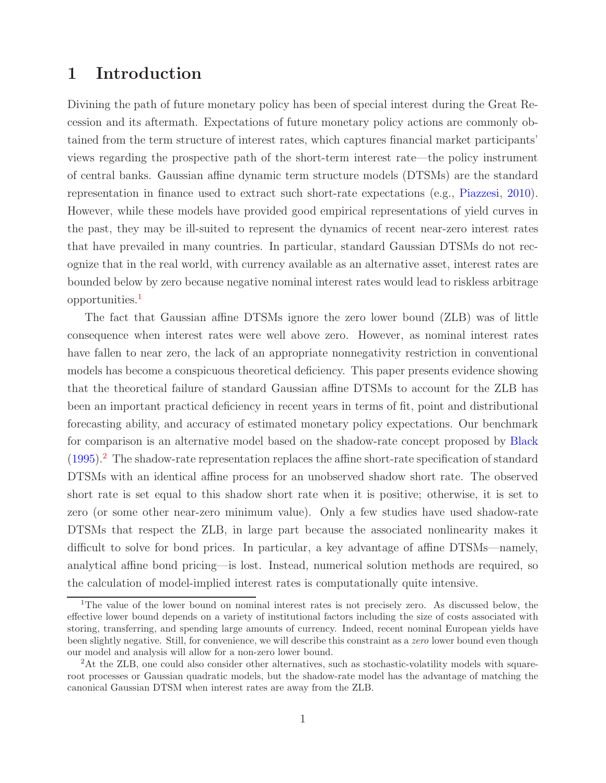## 1 Introduction

Divining the path of future monetary policy has been of special interest during the Great Recession and its aftermath. Expectations of future monetary policy actions are commonly obtained from the term structure of interest rates, which captures financial market participants' views regarding the prospective path of the short-term interest rate—the policy instrument of central banks. Gaussian affine dynamic term structure models (DTSMs) are the standard representation in finance used to extract such short-rate expectations (e.g., [Piazzesi,](#page-27-0) [2010](#page-27-0)). However, while these models have provided good empirical representations of yield curves in the past, they may be ill-suited to represent the dynamics of recent near-zero interest rates that have prevailed in many countries. In particular, standard Gaussian DTSMs do not recognize that in the real world, with currency available as an alternative asset, interest rates are bounded below by zero because negative nominal interest rates would lead to riskless arbitrage opportunities.[1](#page-2-0)

The fact that Gaussian affine DTSMs ignore the zero lower bound (ZLB) was of little consequence when interest rates were well above zero. However, as nominal interest rates have fallen to near zero, the lack of an appropriate nonnegativity restriction in conventional models has become a conspicuous theoretical deficiency. This paper presents evidence showing that the theoretical failure of standard Gaussian affine DTSMs to account for the ZLB has been an important practical deficiency in recent years in terms of fit, point and distributional forecasting ability, and accuracy of estimated monetary policy expectations. Our benchmark for comparison is an alternative model based on the shadow-rate concept proposed by [Black](#page-25-0)  $(1995)^2$  $(1995)^2$  $(1995)^2$ . The shadow-rate representation replaces the affine short-rate specification of standard DTSMs with an identical affine process for an unobserved shadow short rate. The observed short rate is set equal to this shadow short rate when it is positive; otherwise, it is set to zero (or some other near-zero minimum value). Only a few studies have used shadow-rate DTSMs that respect the ZLB, in large part because the associated nonlinearity makes it difficult to solve for bond prices. In particular, a key advantage of affine DTSMs—namely, analytical affine bond pricing—is lost. Instead, numerical solution methods are required, so the calculation of model-implied interest rates is computationally quite intensive.

<span id="page-2-0"></span><sup>&</sup>lt;sup>1</sup>The value of the lower bound on nominal interest rates is not precisely zero. As discussed below, the effective lower bound depends on a variety of institutional factors including the size of costs associated with storing, transferring, and spending large amounts of currency. Indeed, recent nominal European yields have been slightly negative. Still, for convenience, we will describe this constraint as a zero lower bound even though our model and analysis will allow for a non-zero lower bound.

<span id="page-2-1"></span><sup>&</sup>lt;sup>2</sup>At the ZLB, one could also consider other alternatives, such as stochastic-volatility models with squareroot processes or Gaussian quadratic models, but the shadow-rate model has the advantage of matching the canonical Gaussian DTSM when interest rates are away from the ZLB.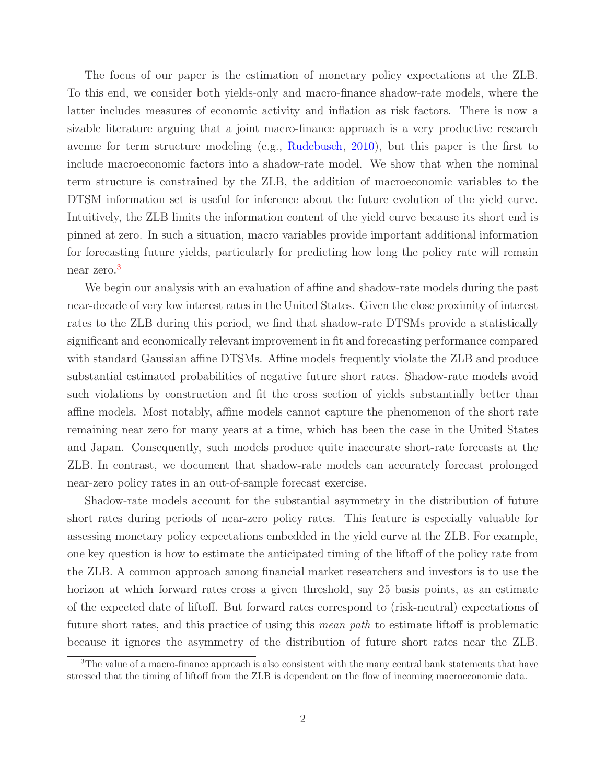The focus of our paper is the estimation of monetary policy expectations at the ZLB. To this end, we consider both yields-only and macro-finance shadow-rate models, where the latter includes measures of economic activity and inflation as risk factors. There is now a sizable literature arguing that a joint macro-finance approach is a very productive research avenue for term structure modeling (e.g., [Rudebusch](#page-28-0), [2010](#page-28-0)), but this paper is the first to include macroeconomic factors into a shadow-rate model. We show that when the nominal term structure is constrained by the ZLB, the addition of macroeconomic variables to the DTSM information set is useful for inference about the future evolution of the yield curve. Intuitively, the ZLB limits the information content of the yield curve because its short end is pinned at zero. In such a situation, macro variables provide important additional information for forecasting future yields, particularly for predicting how long the policy rate will remain near zero.[3](#page-3-0)

We begin our analysis with an evaluation of affine and shadow-rate models during the past near-decade of very low interest rates in the United States. Given the close proximity of interest rates to the ZLB during this period, we find that shadow-rate DTSMs provide a statistically significant and economically relevant improvement in fit and forecasting performance compared with standard Gaussian affine DTSMs. Affine models frequently violate the ZLB and produce substantial estimated probabilities of negative future short rates. Shadow-rate models avoid such violations by construction and fit the cross section of yields substantially better than affine models. Most notably, affine models cannot capture the phenomenon of the short rate remaining near zero for many years at a time, which has been the case in the United States and Japan. Consequently, such models produce quite inaccurate short-rate forecasts at the ZLB. In contrast, we document that shadow-rate models can accurately forecast prolonged near-zero policy rates in an out-of-sample forecast exercise.

Shadow-rate models account for the substantial asymmetry in the distribution of future short rates during periods of near-zero policy rates. This feature is especially valuable for assessing monetary policy expectations embedded in the yield curve at the ZLB. For example, one key question is how to estimate the anticipated timing of the liftoff of the policy rate from the ZLB. A common approach among financial market researchers and investors is to use the horizon at which forward rates cross a given threshold, say 25 basis points, as an estimate of the expected date of liftoff. But forward rates correspond to (risk-neutral) expectations of future short rates, and this practice of using this *mean path* to estimate liftoff is problematic because it ignores the asymmetry of the distribution of future short rates near the ZLB.

<span id="page-3-0"></span> $3$ The value of a macro-finance approach is also consistent with the many central bank statements that have stressed that the timing of liftoff from the ZLB is dependent on the flow of incoming macroeconomic data.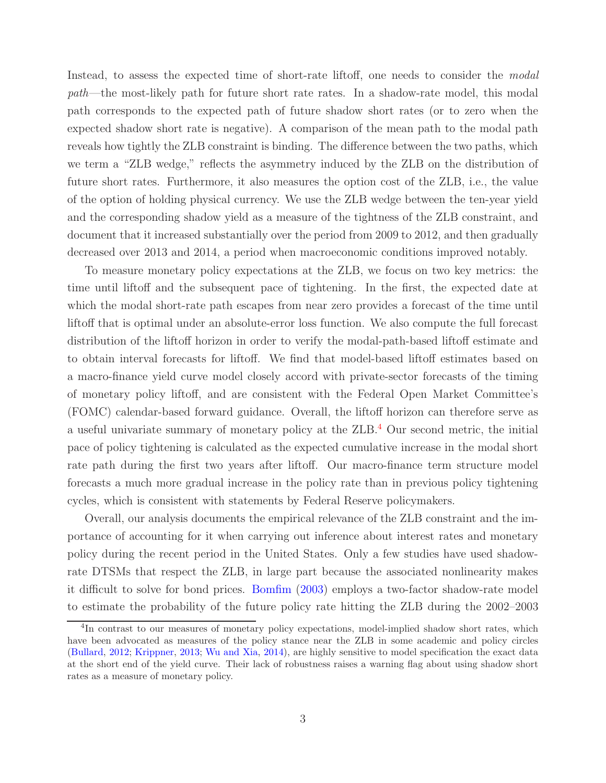Instead, to assess the expected time of short-rate liftoff, one needs to consider the modal path—the most-likely path for future short rate rates. In a shadow-rate model, this modal path corresponds to the expected path of future shadow short rates (or to zero when the expected shadow short rate is negative). A comparison of the mean path to the modal path reveals how tightly the ZLB constraint is binding. The difference between the two paths, which we term a "ZLB wedge," reflects the asymmetry induced by the ZLB on the distribution of future short rates. Furthermore, it also measures the option cost of the ZLB, i.e., the value of the option of holding physical currency. We use the ZLB wedge between the ten-year yield and the corresponding shadow yield as a measure of the tightness of the ZLB constraint, and document that it increased substantially over the period from 2009 to 2012, and then gradually decreased over 2013 and 2014, a period when macroeconomic conditions improved notably.

To measure monetary policy expectations at the ZLB, we focus on two key metrics: the time until liftoff and the subsequent pace of tightening. In the first, the expected date at which the modal short-rate path escapes from near zero provides a forecast of the time until liftoff that is optimal under an absolute-error loss function. We also compute the full forecast distribution of the liftoff horizon in order to verify the modal-path-based liftoff estimate and to obtain interval forecasts for liftoff. We find that model-based liftoff estimates based on a macro-finance yield curve model closely accord with private-sector forecasts of the timing of monetary policy liftoff, and are consistent with the Federal Open Market Committee's (FOMC) calendar-based forward guidance. Overall, the liftoff horizon can therefore serve as a useful univariate summary of monetary policy at the ZLB.[4](#page-4-0) Our second metric, the initial pace of policy tightening is calculated as the expected cumulative increase in the modal short rate path during the first two years after liftoff. Our macro-finance term structure model forecasts a much more gradual increase in the policy rate than in previous policy tightening cycles, which is consistent with statements by Federal Reserve policymakers.

Overall, our analysis documents the empirical relevance of the ZLB constraint and the importance of accounting for it when carrying out inference about interest rates and monetary policy during the recent period in the United States. Only a few studies have used shadowrate DTSMs that respect the ZLB, in large part because the associated nonlinearity makes it difficult to solve for bond prices. [Bomfim](#page-25-1) [\(2003\)](#page-25-1) employs a two-factor shadow-rate model to estimate the probability of the future policy rate hitting the ZLB during the 2002–2003

<span id="page-4-0"></span><sup>&</sup>lt;sup>4</sup>In contrast to our measures of monetary policy expectations, model-implied shadow short rates, which have been advocated as measures of the policy stance near the ZLB in some academic and policy circles [\(Bullard,](#page-25-2) [2012;](#page-25-2) [Krippner,](#page-27-1) [2013;](#page-27-1) [Wu and Xia,](#page-28-1) [2014\)](#page-28-1), are highly sensitive to model specification the exact data at the short end of the yield curve. Their lack of robustness raises a warning flag about using shadow short rates as a measure of monetary policy.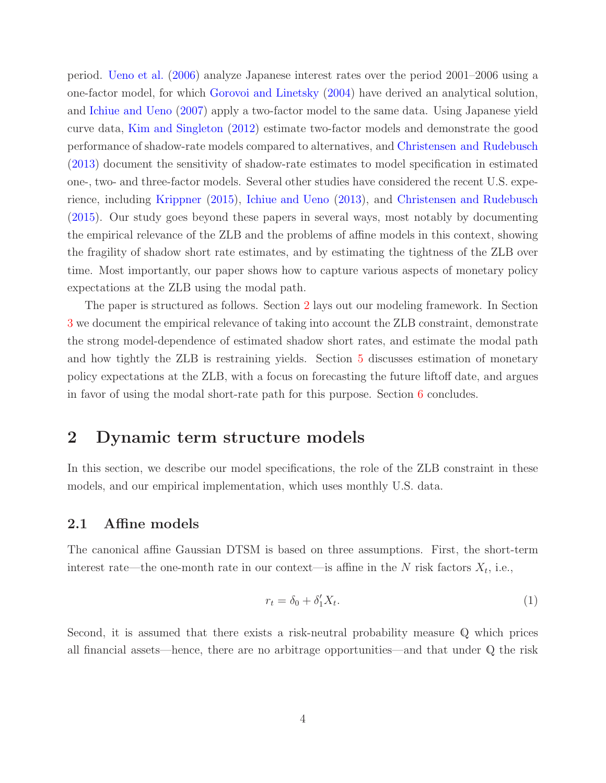period. [Ueno et al.](#page-28-2) [\(2006\)](#page-28-2) analyze Japanese interest rates over the period 2001–2006 using a one-factor model, for which [Gorovoi and Linetsky](#page-26-0) [\(2004](#page-26-0)) have derived an analytical solution, and [Ichiue and Ueno](#page-26-1) [\(2007\)](#page-26-1) apply a two-factor model to the same data. Using Japanese yield curve data, [Kim and Singleton](#page-27-2) [\(2012\)](#page-27-2) estimate two-factor models and demonstrate the good performance of shadow-rate models compared to alternatives, and [Christensen and Rudebusch](#page-25-3) [\(2013](#page-25-3)) document the sensitivity of shadow-rate estimates to model specification in estimated one-, two- and three-factor models. Several other studies have considered the recent U.S. experience, including [Krippner](#page-27-3) [\(2015\)](#page-27-3), [Ichiue and Ueno](#page-26-2) [\(2013](#page-26-2)), and [Christensen and Rudebusch](#page-25-4) [\(2015](#page-25-4)). Our study goes beyond these papers in several ways, most notably by documenting the empirical relevance of the ZLB and the problems of affine models in this context, showing the fragility of shadow short rate estimates, and by estimating the tightness of the ZLB over time. Most importantly, our paper shows how to capture various aspects of monetary policy expectations at the ZLB using the modal path.

The paper is structured as follows. Section [2](#page-5-0) lays out our modeling framework. In Section [3](#page-10-0) we document the empirical relevance of taking into account the ZLB constraint, demonstrate the strong model-dependence of estimated shadow short rates, and estimate the modal path and how tightly the ZLB is restraining yields. Section [5](#page-17-0) discusses estimation of monetary policy expectations at the ZLB, with a focus on forecasting the future liftoff date, and argues in favor of using the modal short-rate path for this purpose. Section [6](#page-23-0) concludes.

## <span id="page-5-0"></span>2 Dynamic term structure models

In this section, we describe our model specifications, the role of the ZLB constraint in these models, and our empirical implementation, which uses monthly U.S. data.

#### <span id="page-5-2"></span>2.1 Affine models

The canonical affine Gaussian DTSM is based on three assumptions. First, the short-term interest rate—the one-month rate in our context—is affine in the N risk factors  $X_t$ , i.e.,

<span id="page-5-1"></span>
$$
r_t = \delta_0 + \delta'_1 X_t. \tag{1}
$$

Second, it is assumed that there exists a risk-neutral probability measure Q which prices all financial assets—hence, there are no arbitrage opportunities—and that under Q the risk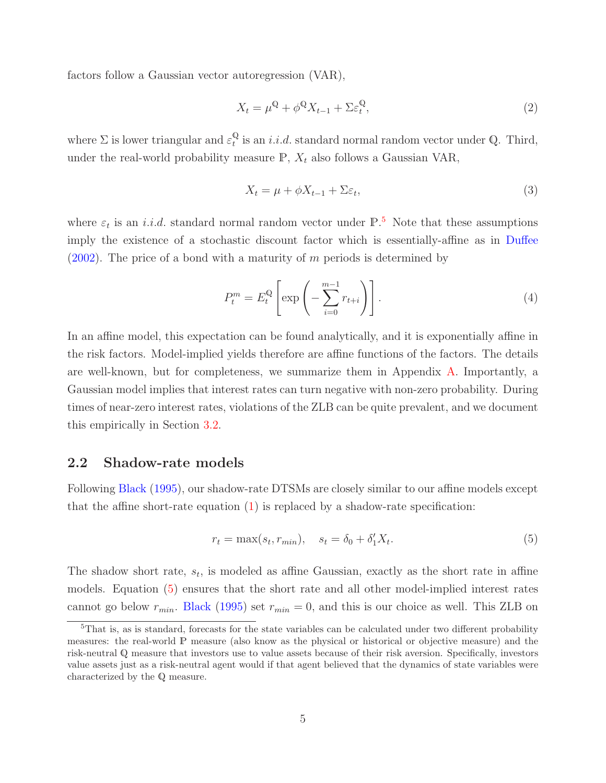factors follow a Gaussian vector autoregression (VAR),

<span id="page-6-2"></span>
$$
X_t = \mu^{\mathbb{Q}} + \phi^{\mathbb{Q}} X_{t-1} + \Sigma \varepsilon_t^{\mathbb{Q}},\tag{2}
$$

where  $\Sigma$  is lower triangular and  $\varepsilon_t^{\mathbb{Q}}$  $\mathcal{L}_t^{\mathbb{Q}}$  is an *i.i.d.* standard normal random vector under  $\mathbb{Q}$ . Third, under the real-world probability measure  $P$ ,  $X_t$  also follows a Gaussian VAR,

<span id="page-6-3"></span>
$$
X_t = \mu + \phi X_{t-1} + \Sigma \varepsilon_t,\tag{3}
$$

where  $\varepsilon_t$  is an *i.i.d.* standard normal random vector under  $\mathbb{P}$ .<sup>[5](#page-6-0)</sup> Note that these assumptions imply the existence of a stochastic discount factor which is essentially-affine as in [Duffee](#page-26-3)  $(2002)$  $(2002)$ . The price of a bond with a maturity of m periods is determined by

$$
P_t^m = E_t^{\mathbb{Q}} \left[ \exp \left( -\sum_{i=0}^{m-1} r_{t+i} \right) \right]. \tag{4}
$$

In an affine model, this expectation can be found analytically, and it is exponentially affine in the risk factors. Model-implied yields therefore are affine functions of the factors. The details are well-known, but for completeness, we summarize them in Appendix [A.](#page-29-0) Importantly, a Gaussian model implies that interest rates can turn negative with non-zero probability. During times of near-zero interest rates, violations of the ZLB can be quite prevalent, and we document this empirically in Section [3.2.](#page-11-0)

#### 2.2 Shadow-rate models

Following [Black](#page-25-0) [\(1995](#page-25-0)), our shadow-rate DTSMs are closely similar to our affine models except that the affine short-rate equation  $(1)$  is replaced by a shadow-rate specification:

<span id="page-6-1"></span>
$$
r_t = \max(s_t, r_{min}), \quad s_t = \delta_0 + \delta'_1 X_t.
$$
\n
$$
(5)
$$

The shadow short rate,  $s_t$ , is modeled as affine Gaussian, exactly as the short rate in affine models. Equation [\(5\)](#page-6-1) ensures that the short rate and all other model-implied interest rates cannot go below  $r_{min}$ . [Black](#page-25-0) [\(1995\)](#page-25-0) set  $r_{min} = 0$ , and this is our choice as well. This ZLB on

<span id="page-6-0"></span><sup>&</sup>lt;sup>5</sup>That is, as is standard, forecasts for the state variables can be calculated under two different probability measures: the real-world P measure (also know as the physical or historical or objective measure) and the risk-neutral Q measure that investors use to value assets because of their risk aversion. Specifically, investors value assets just as a risk-neutral agent would if that agent believed that the dynamics of state variables were characterized by the Q measure.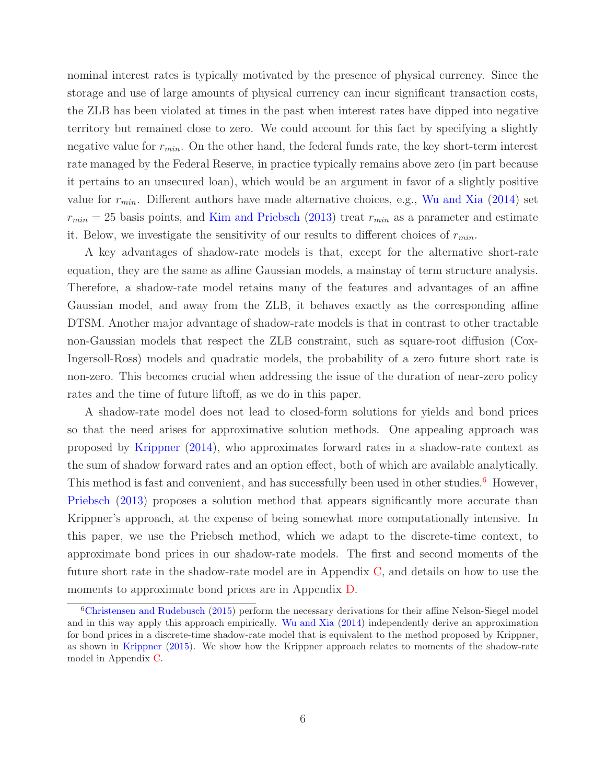nominal interest rates is typically motivated by the presence of physical currency. Since the storage and use of large amounts of physical currency can incur significant transaction costs, the ZLB has been violated at times in the past when interest rates have dipped into negative territory but remained close to zero. We could account for this fact by specifying a slightly negative value for  $r_{min}$ . On the other hand, the federal funds rate, the key short-term interest rate managed by the Federal Reserve, in practice typically remains above zero (in part because it pertains to an unsecured loan), which would be an argument in favor of a slightly positive value for  $r_{min}$ . Different authors have made alternative choices, e.g., [Wu and Xia](#page-28-1) [\(2014\)](#page-28-1) set  $r_{min} = 25$  basis points, and [Kim and Priebsch](#page-27-4) [\(2013\)](#page-27-4) treat  $r_{min}$  as a parameter and estimate it. Below, we investigate the sensitivity of our results to different choices of  $r_{min}$ .

A key advantages of shadow-rate models is that, except for the alternative short-rate equation, they are the same as affine Gaussian models, a mainstay of term structure analysis. Therefore, a shadow-rate model retains many of the features and advantages of an affine Gaussian model, and away from the ZLB, it behaves exactly as the corresponding affine DTSM. Another major advantage of shadow-rate models is that in contrast to other tractable non-Gaussian models that respect the ZLB constraint, such as square-root diffusion (Cox-Ingersoll-Ross) models and quadratic models, the probability of a zero future short rate is non-zero. This becomes crucial when addressing the issue of the duration of near-zero policy rates and the time of future liftoff, as we do in this paper.

A shadow-rate model does not lead to closed-form solutions for yields and bond prices so that the need arises for approximative solution methods. One appealing approach was proposed by [Krippner](#page-27-5) [\(2014\)](#page-27-5), who approximates forward rates in a shadow-rate context as the sum of shadow forward rates and an option effect, both of which are available analytically. This method is fast and convenient, and has successfully been used in other studies.<sup>[6](#page-7-0)</sup> However, [Priebsch](#page-27-6) [\(2013\)](#page-27-6) proposes a solution method that appears significantly more accurate than Krippner's approach, at the expense of being somewhat more computationally intensive. In this paper, we use the Priebsch method, which we adapt to the discrete-time context, to approximate bond prices in our shadow-rate models. The first and second moments of the future short rate in the shadow-rate model are in Appendix [C,](#page-30-0) and details on how to use the moments to approximate bond prices are in Appendix [D.](#page-31-0)

<span id="page-7-0"></span> $6$ [Christensen and Rudebusch](#page-25-4) [\(2015\)](#page-25-4) perform the necessary derivations for their affine Nelson-Siegel model and in this way apply this approach empirically. [Wu and Xia](#page-28-1) [\(2014](#page-28-1)) independently derive an approximation for bond prices in a discrete-time shadow-rate model that is equivalent to the method proposed by Krippner, as shown in [Krippner](#page-27-3) [\(2015](#page-27-3)). We show how the Krippner approach relates to moments of the shadow-rate model in Appendix [C.](#page-30-0)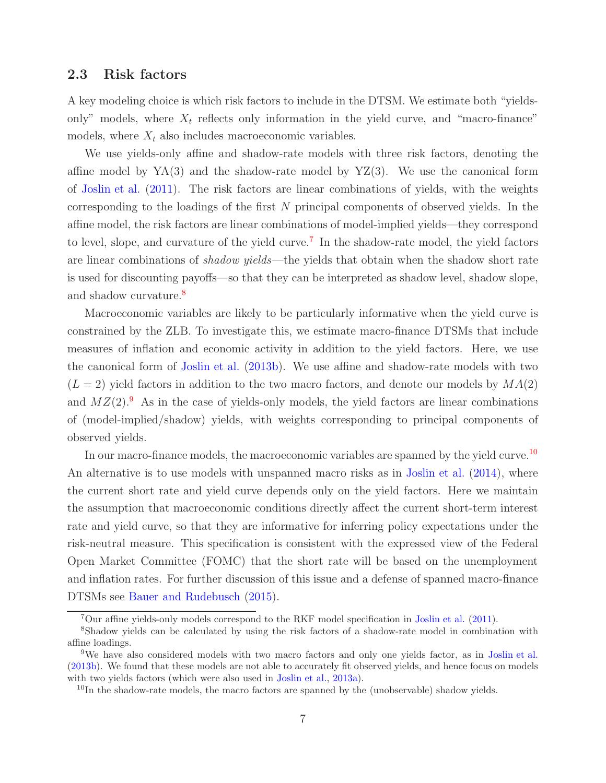#### 2.3 Risk factors

A key modeling choice is which risk factors to include in the DTSM. We estimate both "yieldsonly" models, where  $X_t$  reflects only information in the yield curve, and "macro-finance" models, where  $X_t$  also includes macroeconomic variables.

We use yields-only affine and shadow-rate models with three risk factors, denoting the affine model by  $YA(3)$  and the shadow-rate model by  $YZ(3)$ . We use the canonical form of [Joslin et al.](#page-26-4) [\(2011\)](#page-26-4). The risk factors are linear combinations of yields, with the weights corresponding to the loadings of the first N principal components of observed yields. In the affine model, the risk factors are linear combinations of model-implied yields—they correspond to level, slope, and curvature of the yield curve.<sup>[7](#page-8-0)</sup> In the shadow-rate model, the yield factors are linear combinations of shadow yields—the yields that obtain when the shadow short rate is used for discounting payoffs—so that they can be interpreted as shadow level, shadow slope, and shadow curvature.<sup>[8](#page-8-1)</sup>

Macroeconomic variables are likely to be particularly informative when the yield curve is constrained by the ZLB. To investigate this, we estimate macro-finance DTSMs that include measures of inflation and economic activity in addition to the yield factors. Here, we use the canonical form of [Joslin et al.](#page-26-5) [\(2013b](#page-26-5)). We use affine and shadow-rate models with two  $(L = 2)$  yield factors in addition to the two macro factors, and denote our models by  $MA(2)$ and  $MZ(2).<sup>9</sup>$  $MZ(2).<sup>9</sup>$  $MZ(2).<sup>9</sup>$  As in the case of yields-only models, the yield factors are linear combinations of (model-implied/shadow) yields, with weights corresponding to principal components of observed yields.

In our macro-finance models, the macroeconomic variables are spanned by the yield curve.<sup>[10](#page-8-3)</sup> An alternative is to use models with unspanned macro risks as in [Joslin et al.](#page-27-7) [\(2014\)](#page-27-7), where the current short rate and yield curve depends only on the yield factors. Here we maintain the assumption that macroeconomic conditions directly affect the current short-term interest rate and yield curve, so that they are informative for inferring policy expectations under the risk-neutral measure. This specification is consistent with the expressed view of the Federal Open Market Committee (FOMC) that the short rate will be based on the unemployment and inflation rates. For further discussion of this issue and a defense of spanned macro-finance DTSMs see [Bauer and Rudebusch](#page-25-5) [\(2015\)](#page-25-5).

<span id="page-8-0"></span><sup>7</sup>Our affine yields-only models correspond to the RKF model specification in [Joslin et al.](#page-26-4) [\(2011](#page-26-4)).

<span id="page-8-1"></span><sup>8</sup>Shadow yields can be calculated by using the risk factors of a shadow-rate model in combination with affine loadings.

<span id="page-8-2"></span><sup>9</sup>We have also considered models with two macro factors and only one yields factor, as in [Joslin et al.](#page-26-5) [\(2013b\)](#page-26-5). We found that these models are not able to accurately fit observed yields, and hence focus on models with two yields factors (which were also used in [Joslin et al.](#page-26-6), [2013a\)](#page-26-6).

<span id="page-8-3"></span> $10$ In the shadow-rate models, the macro factors are spanned by the (unobservable) shadow yields.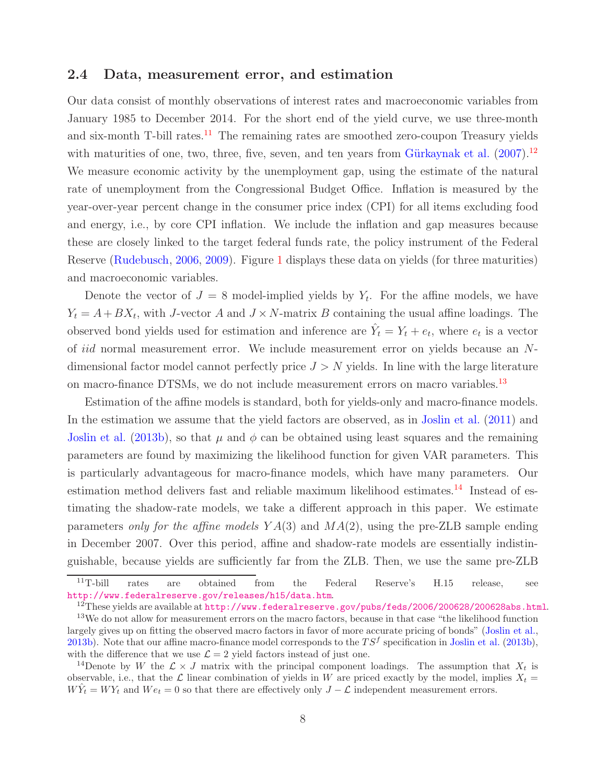#### 2.4 Data, measurement error, and estimation

Our data consist of monthly observations of interest rates and macroeconomic variables from January 1985 to December 2014. For the short end of the yield curve, we use three-month and six-month T-bill rates.<sup>[11](#page-9-0)</sup> The remaining rates are smoothed zero-coupon Treasury yields with maturities of one, two, three, five, seven, and ten years from Gürkaynak et al.  $(2007)^{12}$  $(2007)^{12}$  $(2007)^{12}$  $(2007)^{12}$ We measure economic activity by the unemployment gap, using the estimate of the natural rate of unemployment from the Congressional Budget Office. Inflation is measured by the year-over-year percent change in the consumer price index (CPI) for all items excluding food and energy, i.e., by core CPI inflation. We include the inflation and gap measures because these are closely linked to the target federal funds rate, the policy instrument of the Federal Reserve [\(Rudebusch](#page-27-8), [2006,](#page-27-8) [2009\)](#page-27-9). Figure [1](#page-35-0) displays these data on yields (for three maturities) and macroeconomic variables.

Denote the vector of  $J = 8$  model-implied yields by  $Y_t$ . For the affine models, we have  $Y_t = A + BX_t$ , with J-vector A and  $J \times N$ -matrix B containing the usual affine loadings. The observed bond yields used for estimation and inference are  $\hat{Y}_t = Y_t + e_t$ , where  $e_t$  is a vector of iid normal measurement error. We include measurement error on yields because an Ndimensional factor model cannot perfectly price  $J > N$  yields. In line with the large literature on macro-finance DTSMs, we do not include measurement errors on macro variables.<sup>[13](#page-9-2)</sup>

Estimation of the affine models is standard, both for yields-only and macro-finance models. In the estimation we assume that the yield factors are observed, as in [Joslin et al.](#page-26-4) [\(2011\)](#page-26-4) and [Joslin et al.](#page-26-5) [\(2013b](#page-26-5)), so that  $\mu$  and  $\phi$  can be obtained using least squares and the remaining parameters are found by maximizing the likelihood function for given VAR parameters. This is particularly advantageous for macro-finance models, which have many parameters. Our estimation method delivers fast and reliable maximum likelihood estimates.<sup>[14](#page-9-3)</sup> Instead of estimating the shadow-rate models, we take a different approach in this paper. We estimate parameters only for the affine models  $YA(3)$  and  $MA(2)$ , using the pre-ZLB sample ending in December 2007. Over this period, affine and shadow-rate models are essentially indistinguishable, because yields are sufficiently far from the ZLB. Then, we use the same pre-ZLB

<sup>&</sup>lt;sup>11</sup>T-bill rates are obtained from the Federal Reserve's H.15 release, see <http://www.federalreserve.gov/releases/h15/data.htm>.

<span id="page-9-1"></span><span id="page-9-0"></span> $12$ These yields are available at <http://www.federalreserve.gov/pubs/feds/2006/200628/200628abs.html>.

<span id="page-9-2"></span><sup>&</sup>lt;sup>13</sup>We do not allow for measurement errors on the macro factors, because in that case "the likelihood function" largely gives up on fitting the observed macro factors in favor of more accurate pricing of bonds" [\(Joslin et al.](#page-26-5), [2013b\)](#page-26-5). Note that our affine macro-finance model corresponds to the  $TS<sup>f</sup>$  specification in [Joslin et al.](#page-26-5) [\(2013b](#page-26-5)), with the difference that we use  $\mathcal{L} = 2$  yield factors instead of just one.

<span id="page-9-3"></span><sup>&</sup>lt;sup>14</sup>Denote by W the  $\mathcal{L} \times J$  matrix with the principal component loadings. The assumption that  $X_t$  is observable, i.e., that the L linear combination of yields in W are priced exactly by the model, implies  $X_t =$  $W\hat{Y}_t = WY_t$  and  $We_t = 0$  so that there are effectively only  $J - \mathcal{L}$  independent measurement errors.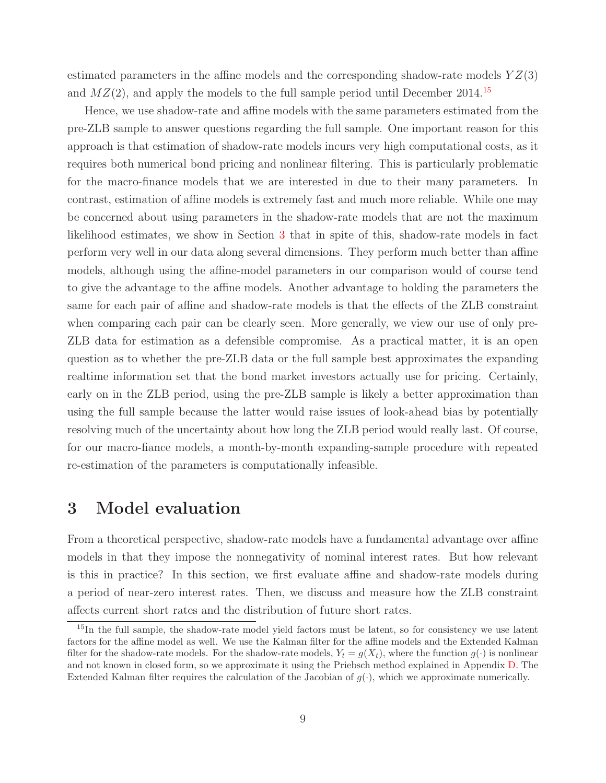estimated parameters in the affine models and the corresponding shadow-rate models  $YZ(3)$ and  $MZ(2)$ , and apply the models to the full sample period until December 2014.<sup>[15](#page-10-1)</sup>

Hence, we use shadow-rate and affine models with the same parameters estimated from the pre-ZLB sample to answer questions regarding the full sample. One important reason for this approach is that estimation of shadow-rate models incurs very high computational costs, as it requires both numerical bond pricing and nonlinear filtering. This is particularly problematic for the macro-finance models that we are interested in due to their many parameters. In contrast, estimation of affine models is extremely fast and much more reliable. While one may be concerned about using parameters in the shadow-rate models that are not the maximum likelihood estimates, we show in Section [3](#page-10-0) that in spite of this, shadow-rate models in fact perform very well in our data along several dimensions. They perform much better than affine models, although using the affine-model parameters in our comparison would of course tend to give the advantage to the affine models. Another advantage to holding the parameters the same for each pair of affine and shadow-rate models is that the effects of the ZLB constraint when comparing each pair can be clearly seen. More generally, we view our use of only pre-ZLB data for estimation as a defensible compromise. As a practical matter, it is an open question as to whether the pre-ZLB data or the full sample best approximates the expanding realtime information set that the bond market investors actually use for pricing. Certainly, early on in the ZLB period, using the pre-ZLB sample is likely a better approximation than using the full sample because the latter would raise issues of look-ahead bias by potentially resolving much of the uncertainty about how long the ZLB period would really last. Of course, for our macro-fiance models, a month-by-month expanding-sample procedure with repeated re-estimation of the parameters is computationally infeasible.

## <span id="page-10-0"></span>3 Model evaluation

From a theoretical perspective, shadow-rate models have a fundamental advantage over affine models in that they impose the nonnegativity of nominal interest rates. But how relevant is this in practice? In this section, we first evaluate affine and shadow-rate models during a period of near-zero interest rates. Then, we discuss and measure how the ZLB constraint affects current short rates and the distribution of future short rates.

<span id="page-10-1"></span><sup>15</sup>In the full sample, the shadow-rate model yield factors must be latent, so for consistency we use latent factors for the affine model as well. We use the Kalman filter for the affine models and the Extended Kalman filter for the shadow-rate models. For the shadow-rate models,  $Y_t = g(X_t)$ , where the function  $g(\cdot)$  is nonlinear and not known in closed form, so we approximate it using the Priebsch method explained in Appendix [D.](#page-31-0) The Extended Kalman filter requires the calculation of the Jacobian of  $g(\cdot)$ , which we approximate numerically.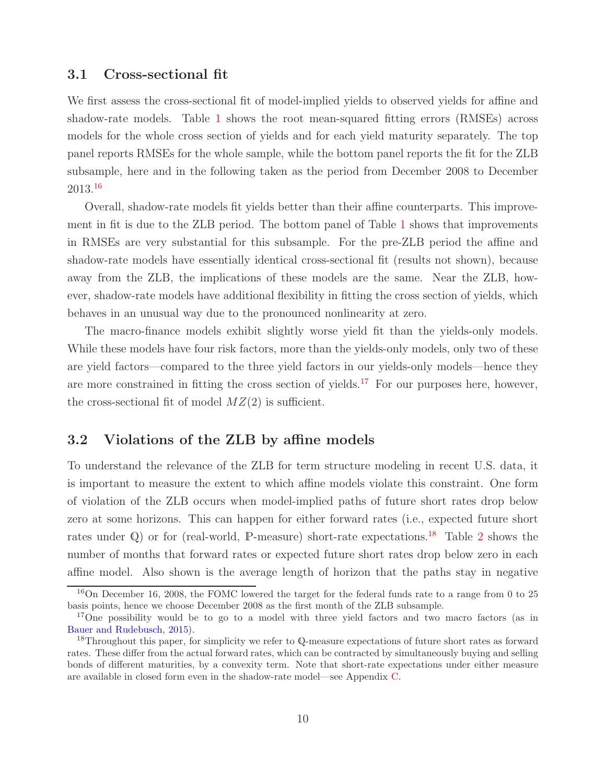#### 3.1 Cross-sectional fit

We first assess the cross-sectional fit of model-implied yields to observed yields for affine and shadow-rate models. Table [1](#page-33-0) shows the root mean-squared fitting errors (RMSEs) across models for the whole cross section of yields and for each yield maturity separately. The top panel reports RMSEs for the whole sample, while the bottom panel reports the fit for the ZLB subsample, here and in the following taken as the period from December 2008 to December 2013.[16](#page-11-1)

Overall, shadow-rate models fit yields better than their affine counterparts. This improvement in fit is due to the ZLB period. The bottom panel of Table [1](#page-33-0) shows that improvements in RMSEs are very substantial for this subsample. For the pre-ZLB period the affine and shadow-rate models have essentially identical cross-sectional fit (results not shown), because away from the ZLB, the implications of these models are the same. Near the ZLB, however, shadow-rate models have additional flexibility in fitting the cross section of yields, which behaves in an unusual way due to the pronounced nonlinearity at zero.

The macro-finance models exhibit slightly worse yield fit than the yields-only models. While these models have four risk factors, more than the yields-only models, only two of these are yield factors—compared to the three yield factors in our yields-only models—hence they are more constrained in fitting the cross section of yields.<sup>[17](#page-11-2)</sup> For our purposes here, however, the cross-sectional fit of model  $MZ(2)$  is sufficient.

#### <span id="page-11-0"></span>3.2 Violations of the ZLB by affine models

To understand the relevance of the ZLB for term structure modeling in recent U.S. data, it is important to measure the extent to which affine models violate this constraint. One form of violation of the ZLB occurs when model-implied paths of future short rates drop below zero at some horizons. This can happen for either forward rates (i.e., expected future short rates under  $\mathbb{Q}$  or for (real-world, P-measure) short-rate expectations.<sup>[18](#page-11-3)</sup> Table [2](#page-33-1) shows the number of months that forward rates or expected future short rates drop below zero in each affine model. Also shown is the average length of horizon that the paths stay in negative

<span id="page-11-1"></span><sup>16</sup>On December 16, 2008, the FOMC lowered the target for the federal funds rate to a range from 0 to 25 basis points, hence we choose December 2008 as the first month of the ZLB subsample.

<span id="page-11-2"></span><sup>&</sup>lt;sup>17</sup>One possibility would be to go to a model with three yield factors and two macro factors (as in [Bauer and Rudebusch](#page-25-5), [2015](#page-25-5)).

<span id="page-11-3"></span><sup>&</sup>lt;sup>18</sup>Throughout this paper, for simplicity we refer to Q-measure expectations of future short rates as forward rates. These differ from the actual forward rates, which can be contracted by simultaneously buying and selling bonds of different maturities, by a convexity term. Note that short-rate expectations under either measure are available in closed form even in the shadow-rate model—see Appendix [C.](#page-30-0)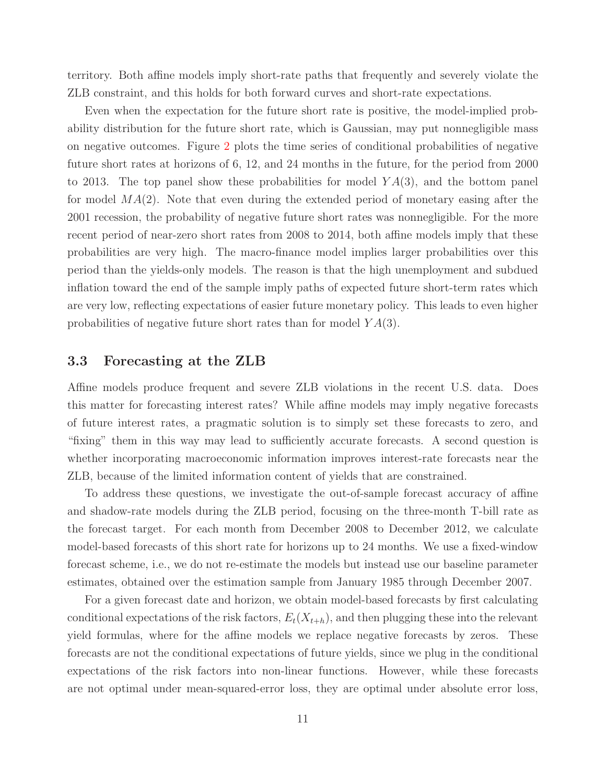territory. Both affine models imply short-rate paths that frequently and severely violate the ZLB constraint, and this holds for both forward curves and short-rate expectations.

Even when the expectation for the future short rate is positive, the model-implied probability distribution for the future short rate, which is Gaussian, may put nonnegligible mass on negative outcomes. Figure [2](#page-36-0) plots the time series of conditional probabilities of negative future short rates at horizons of 6, 12, and 24 months in the future, for the period from 2000 to 2013. The top panel show these probabilities for model  $YA(3)$ , and the bottom panel for model  $MA(2)$ . Note that even during the extended period of monetary easing after the 2001 recession, the probability of negative future short rates was nonnegligible. For the more recent period of near-zero short rates from 2008 to 2014, both affine models imply that these probabilities are very high. The macro-finance model implies larger probabilities over this period than the yields-only models. The reason is that the high unemployment and subdued inflation toward the end of the sample imply paths of expected future short-term rates which are very low, reflecting expectations of easier future monetary policy. This leads to even higher probabilities of negative future short rates than for model  $YA(3)$ .

#### 3.3 Forecasting at the ZLB

Affine models produce frequent and severe ZLB violations in the recent U.S. data. Does this matter for forecasting interest rates? While affine models may imply negative forecasts of future interest rates, a pragmatic solution is to simply set these forecasts to zero, and "fixing" them in this way may lead to sufficiently accurate forecasts. A second question is whether incorporating macroeconomic information improves interest-rate forecasts near the ZLB, because of the limited information content of yields that are constrained.

To address these questions, we investigate the out-of-sample forecast accuracy of affine and shadow-rate models during the ZLB period, focusing on the three-month T-bill rate as the forecast target. For each month from December 2008 to December 2012, we calculate model-based forecasts of this short rate for horizons up to 24 months. We use a fixed-window forecast scheme, i.e., we do not re-estimate the models but instead use our baseline parameter estimates, obtained over the estimation sample from January 1985 through December 2007.

For a given forecast date and horizon, we obtain model-based forecasts by first calculating conditional expectations of the risk factors,  $E_t(X_{t+h})$ , and then plugging these into the relevant yield formulas, where for the affine models we replace negative forecasts by zeros. These forecasts are not the conditional expectations of future yields, since we plug in the conditional expectations of the risk factors into non-linear functions. However, while these forecasts are not optimal under mean-squared-error loss, they are optimal under absolute error loss,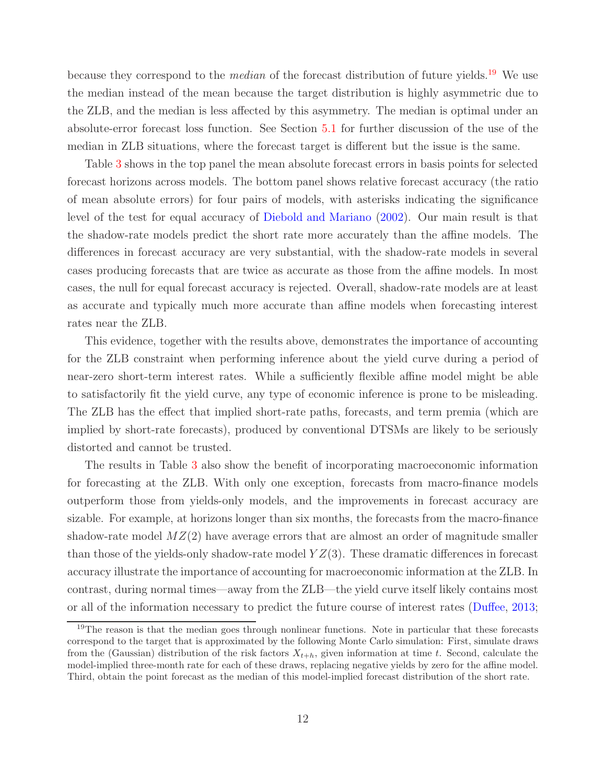because they correspond to the *median* of the forecast distribution of future yields.<sup>[19](#page-13-0)</sup> We use the median instead of the mean because the target distribution is highly asymmetric due to the ZLB, and the median is less affected by this asymmetry. The median is optimal under an absolute-error forecast loss function. See Section [5.1](#page-18-0) for further discussion of the use of the median in ZLB situations, where the forecast target is different but the issue is the same.

Table [3](#page-34-0) shows in the top panel the mean absolute forecast errors in basis points for selected forecast horizons across models. The bottom panel shows relative forecast accuracy (the ratio of mean absolute errors) for four pairs of models, with asterisks indicating the significance level of the test for equal accuracy of [Diebold and Mariano](#page-25-6) [\(2002\)](#page-25-6). Our main result is that the shadow-rate models predict the short rate more accurately than the affine models. The differences in forecast accuracy are very substantial, with the shadow-rate models in several cases producing forecasts that are twice as accurate as those from the affine models. In most cases, the null for equal forecast accuracy is rejected. Overall, shadow-rate models are at least as accurate and typically much more accurate than affine models when forecasting interest rates near the ZLB.

This evidence, together with the results above, demonstrates the importance of accounting for the ZLB constraint when performing inference about the yield curve during a period of near-zero short-term interest rates. While a sufficiently flexible affine model might be able to satisfactorily fit the yield curve, any type of economic inference is prone to be misleading. The ZLB has the effect that implied short-rate paths, forecasts, and term premia (which are implied by short-rate forecasts), produced by conventional DTSMs are likely to be seriously distorted and cannot be trusted.

The results in Table [3](#page-34-0) also show the benefit of incorporating macroeconomic information for forecasting at the ZLB. With only one exception, forecasts from macro-finance models outperform those from yields-only models, and the improvements in forecast accuracy are sizable. For example, at horizons longer than six months, the forecasts from the macro-finance shadow-rate model  $MZ(2)$  have average errors that are almost an order of magnitude smaller than those of the yields-only shadow-rate model  $YZ(3)$ . These dramatic differences in forecast accuracy illustrate the importance of accounting for macroeconomic information at the ZLB. In contrast, during normal times—away from the ZLB—the yield curve itself likely contains most or all of the information necessary to predict the future course of interest rates [\(Duffee](#page-26-8), [2013;](#page-26-8)

<span id="page-13-0"></span><sup>&</sup>lt;sup>19</sup>The reason is that the median goes through nonlinear functions. Note in particular that these forecasts correspond to the target that is approximated by the following Monte Carlo simulation: First, simulate draws from the (Gaussian) distribution of the risk factors  $X_{t+h}$ , given information at time t. Second, calculate the model-implied three-month rate for each of these draws, replacing negative yields by zero for the affine model. Third, obtain the point forecast as the median of this model-implied forecast distribution of the short rate.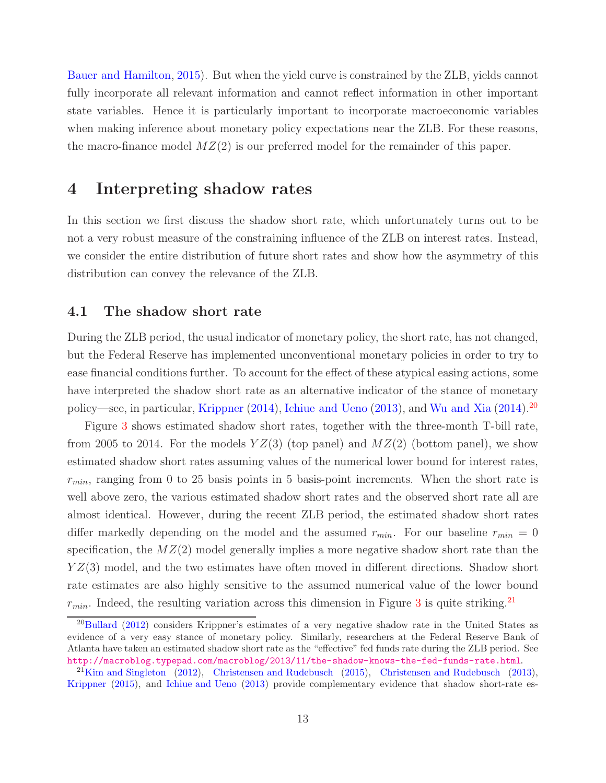[Bauer and Hamilton,](#page-25-7) [2015](#page-25-7)). But when the yield curve is constrained by the ZLB, yields cannot fully incorporate all relevant information and cannot reflect information in other important state variables. Hence it is particularly important to incorporate macroeconomic variables when making inference about monetary policy expectations near the ZLB. For these reasons, the macro-finance model  $MZ(2)$  is our preferred model for the remainder of this paper.

### 4 Interpreting shadow rates

In this section we first discuss the shadow short rate, which unfortunately turns out to be not a very robust measure of the constraining influence of the ZLB on interest rates. Instead, we consider the entire distribution of future short rates and show how the asymmetry of this distribution can convey the relevance of the ZLB.

#### <span id="page-14-2"></span>4.1 The shadow short rate

During the ZLB period, the usual indicator of monetary policy, the short rate, has not changed, but the Federal Reserve has implemented unconventional monetary policies in order to try to ease financial conditions further. To account for the effect of these atypical easing actions, some have interpreted the shadow short rate as an alternative indicator of the stance of monetary policy—see, in particular, [Krippner](#page-27-5) [\(2014](#page-27-5)), [Ichiue and Ueno](#page-26-2) [\(2013](#page-26-2)), and [Wu and Xia](#page-28-1) [\(2014](#page-28-1)).[20](#page-14-0)

Figure [3](#page-37-0) shows estimated shadow short rates, together with the three-month T-bill rate, from 2005 to 2014. For the models  $YZ(3)$  (top panel) and  $MZ(2)$  (bottom panel), we show estimated shadow short rates assuming values of the numerical lower bound for interest rates,  $r_{min}$ , ranging from 0 to 25 basis points in 5 basis-point increments. When the short rate is well above zero, the various estimated shadow short rates and the observed short rate all are almost identical. However, during the recent ZLB period, the estimated shadow short rates differ markedly depending on the model and the assumed  $r_{min}$ . For our baseline  $r_{min} = 0$ specification, the  $MZ(2)$  model generally implies a more negative shadow short rate than the YZ(3) model, and the two estimates have often moved in different directions. Shadow short rate estimates are also highly sensitive to the assumed numerical value of the lower bound  $r_{min}$ . Indeed, the resulting variation across this dimension in Figure [3](#page-37-0) is quite striking.<sup>[21](#page-14-1)</sup>

<span id="page-14-0"></span><sup>20</sup>[Bullard](#page-25-2) [\(2012\)](#page-25-2) considers Krippner's estimates of a very negative shadow rate in the United States as evidence of a very easy stance of monetary policy. Similarly, researchers at the Federal Reserve Bank of Atlanta have taken an estimated shadow short rate as the "effective" fed funds rate during the ZLB period. See <http://macroblog.typepad.com/macroblog/2013/11/the-shadow-knows-the-fed-funds-rate.html>.

<span id="page-14-1"></span> $^{21}$ [Kim and Singleton](#page-27-2) [\(2012\)](#page-27-2), [Christensen and Rudebusch](#page-25-3) [\(2015\)](#page-25-4), Christensen and Rudebusch [\(2013](#page-25-3)), [Krippner](#page-27-3) [\(2015\)](#page-27-3), and [Ichiue and Ueno](#page-26-2) [\(2013\)](#page-26-2) provide complementary evidence that shadow short-rate es-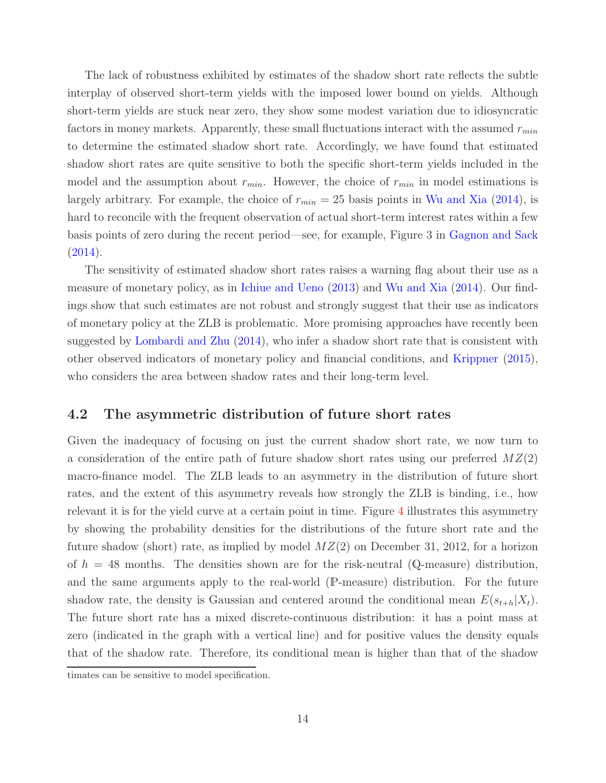The lack of robustness exhibited by estimates of the shadow short rate reflects the subtle interplay of observed short-term yields with the imposed lower bound on yields. Although short-term yields are stuck near zero, they show some modest variation due to idiosyncratic factors in money markets. Apparently, these small fluctuations interact with the assumed  $r_{min}$ to determine the estimated shadow short rate. Accordingly, we have found that estimated shadow short rates are quite sensitive to both the specific short-term yields included in the model and the assumption about  $r_{min}$ . However, the choice of  $r_{min}$  in model estimations is largely arbitrary. For example, the choice of  $r_{min} = 25$  basis points in [Wu and Xia](#page-28-1) [\(2014](#page-28-1)), is hard to reconcile with the frequent observation of actual short-term interest rates within a few basis points of zero during the recent period—see, for example, Figure 3 in [Gagnon and Sack](#page-26-9) [\(2014](#page-26-9)).

The sensitivity of estimated shadow short rates raises a warning flag about their use as a measure of monetary policy, as in [Ichiue and Ueno](#page-26-2) [\(2013\)](#page-26-2) and [Wu and Xia](#page-28-1) [\(2014\)](#page-28-1). Our findings show that such estimates are not robust and strongly suggest that their use as indicators of monetary policy at the ZLB is problematic. More promising approaches have recently been suggested by [Lombardi and Zhu](#page-27-10) [\(2014\)](#page-27-10), who infer a shadow short rate that is consistent with other observed indicators of monetary policy and financial conditions, and [Krippner](#page-27-3) [\(2015](#page-27-3)), who considers the area between shadow rates and their long-term level.

#### <span id="page-15-0"></span>4.2 The asymmetric distribution of future short rates

Given the inadequacy of focusing on just the current shadow short rate, we now turn to a consideration of the entire path of future shadow short rates using our preferred  $MZ(2)$ macro-finance model. The ZLB leads to an asymmetry in the distribution of future short rates, and the extent of this asymmetry reveals how strongly the ZLB is binding, i.e., how relevant it is for the yield curve at a certain point in time. Figure [4](#page-38-0) illustrates this asymmetry by showing the probability densities for the distributions of the future short rate and the future shadow (short) rate, as implied by model  $MZ(2)$  on December 31, 2012, for a horizon of  $h = 48$  months. The densities shown are for the risk-neutral (Q-measure) distribution, and the same arguments apply to the real-world (P-measure) distribution. For the future shadow rate, the density is Gaussian and centered around the conditional mean  $E(s_{t+h}|X_t)$ . The future short rate has a mixed discrete-continuous distribution: it has a point mass at zero (indicated in the graph with a vertical line) and for positive values the density equals that of the shadow rate. Therefore, its conditional mean is higher than that of the shadow

timates can be sensitive to model specification.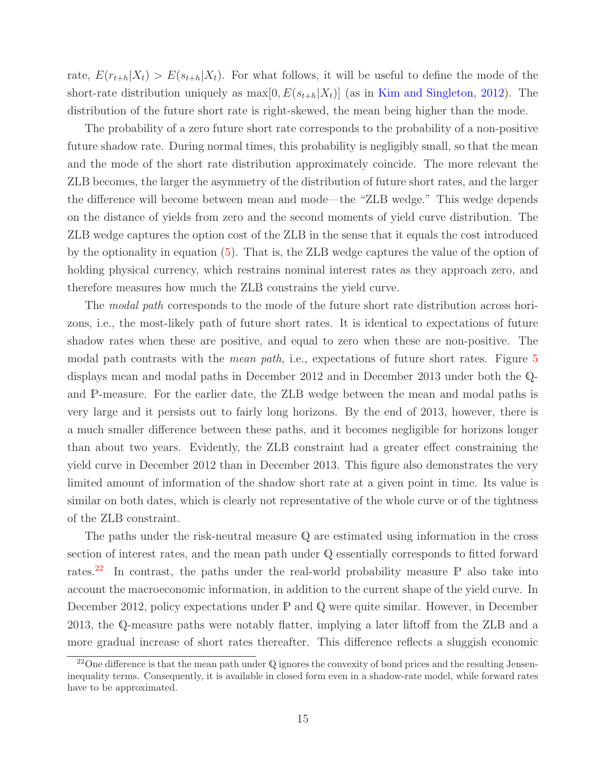rate,  $E(r_{t+h}|X_t) > E(s_{t+h}|X_t)$ . For what follows, it will be useful to define the mode of the short-rate distribution uniquely as  $\max[0, E(s_{t+h}|X_t)]$  (as in [Kim and Singleton](#page-27-2), [2012\)](#page-27-2). The distribution of the future short rate is right-skewed, the mean being higher than the mode.

The probability of a zero future short rate corresponds to the probability of a non-positive future shadow rate. During normal times, this probability is negligibly small, so that the mean and the mode of the short rate distribution approximately coincide. The more relevant the ZLB becomes, the larger the asymmetry of the distribution of future short rates, and the larger the difference will become between mean and mode—the "ZLB wedge." This wedge depends on the distance of yields from zero and the second moments of yield curve distribution. The ZLB wedge captures the option cost of the ZLB in the sense that it equals the cost introduced by the optionality in equation [\(5\)](#page-6-1). That is, the ZLB wedge captures the value of the option of holding physical currency, which restrains nominal interest rates as they approach zero, and therefore measures how much the ZLB constrains the yield curve.

The *modal path* corresponds to the mode of the future short rate distribution across horizons, i.e., the most-likely path of future short rates. It is identical to expectations of future shadow rates when these are positive, and equal to zero when these are non-positive. The modal path contrasts with the mean path, i.e., expectations of future short rates. Figure [5](#page-39-0) displays mean and modal paths in December 2012 and in December 2013 under both the Qand P-measure. For the earlier date, the ZLB wedge between the mean and modal paths is very large and it persists out to fairly long horizons. By the end of 2013, however, there is a much smaller difference between these paths, and it becomes negligible for horizons longer than about two years. Evidently, the ZLB constraint had a greater effect constraining the yield curve in December 2012 than in December 2013. This figure also demonstrates the very limited amount of information of the shadow short rate at a given point in time. Its value is similar on both dates, which is clearly not representative of the whole curve or of the tightness of the ZLB constraint.

The paths under the risk-neutral measure Q are estimated using information in the cross section of interest rates, and the mean path under Q essentially corresponds to fitted forward rates.<sup>[22](#page-16-0)</sup> In contrast, the paths under the real-world probability measure  $P$  also take into account the macroeconomic information, in addition to the current shape of the yield curve. In December 2012, policy expectations under P and Q were quite similar. However, in December 2013, the Q-measure paths were notably flatter, implying a later liftoff from the ZLB and a more gradual increase of short rates thereafter. This difference reflects a sluggish economic

<span id="page-16-0"></span><sup>&</sup>lt;sup>22</sup>One difference is that the mean path under Q ignores the convexity of bond prices and the resulting Jenseninequality terms. Consequently, it is available in closed form even in a shadow-rate model, while forward rates have to be approximated.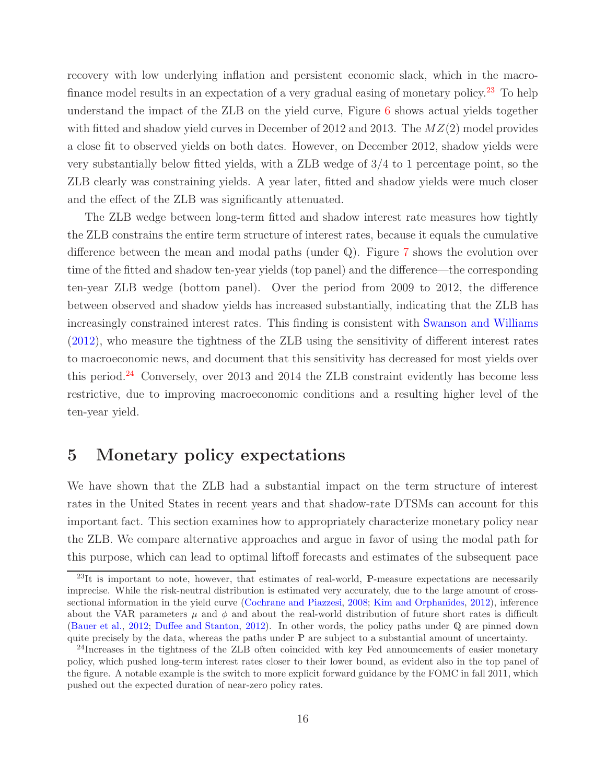recovery with low underlying inflation and persistent economic slack, which in the macro-finance model results in an expectation of a very gradual easing of monetary policy.<sup>[23](#page-17-1)</sup> To help understand the impact of the ZLB on the yield curve, Figure [6](#page-40-0) shows actual yields together with fitted and shadow yield curves in December of 2012 and 2013. The  $MZ(2)$  model provides a close fit to observed yields on both dates. However, on December 2012, shadow yields were very substantially below fitted yields, with a ZLB wedge of 3/4 to 1 percentage point, so the ZLB clearly was constraining yields. A year later, fitted and shadow yields were much closer and the effect of the ZLB was significantly attenuated.

The ZLB wedge between long-term fitted and shadow interest rate measures how tightly the ZLB constrains the entire term structure of interest rates, because it equals the cumulative difference between the mean and modal paths (under Q). Figure [7](#page-41-0) shows the evolution over time of the fitted and shadow ten-year yields (top panel) and the difference—the corresponding ten-year ZLB wedge (bottom panel). Over the period from 2009 to 2012, the difference between observed and shadow yields has increased substantially, indicating that the ZLB has increasingly constrained interest rates. This finding is consistent with [Swanson and Williams](#page-28-3) [\(2012](#page-28-3)), who measure the tightness of the ZLB using the sensitivity of different interest rates to macroeconomic news, and document that this sensitivity has decreased for most yields over this period. $24$  Conversely, over 2013 and 2014 the ZLB constraint evidently has become less restrictive, due to improving macroeconomic conditions and a resulting higher level of the ten-year yield.

## <span id="page-17-0"></span>5 Monetary policy expectations

We have shown that the ZLB had a substantial impact on the term structure of interest rates in the United States in recent years and that shadow-rate DTSMs can account for this important fact. This section examines how to appropriately characterize monetary policy near the ZLB. We compare alternative approaches and argue in favor of using the modal path for this purpose, which can lead to optimal liftoff forecasts and estimates of the subsequent pace

<span id="page-17-1"></span> $^{23}$ It is important to note, however, that estimates of real-world, P-measure expectations are necessarily imprecise. While the risk-neutral distribution is estimated very accurately, due to the large amount of crosssectional information in the yield curve [\(Cochrane and Piazzesi,](#page-25-8) [2008;](#page-25-8) [Kim and Orphanides](#page-27-11), [2012\)](#page-27-11), inference about the VAR parameters  $\mu$  and  $\phi$  and about the real-world distribution of future short rates is difficult [\(Bauer et al.](#page-25-9), [2012](#page-25-9); [Duffee and Stanton](#page-26-10), [2012](#page-26-10)). In other words, the policy paths under Q are pinned down quite precisely by the data, whereas the paths under  $\mathbb P$  are subject to a substantial amount of uncertainty.

<span id="page-17-2"></span><sup>&</sup>lt;sup>24</sup>Increases in the tightness of the ZLB often coincided with key Fed announcements of easier monetary policy, which pushed long-term interest rates closer to their lower bound, as evident also in the top panel of the figure. A notable example is the switch to more explicit forward guidance by the FOMC in fall 2011, which pushed out the expected duration of near-zero policy rates.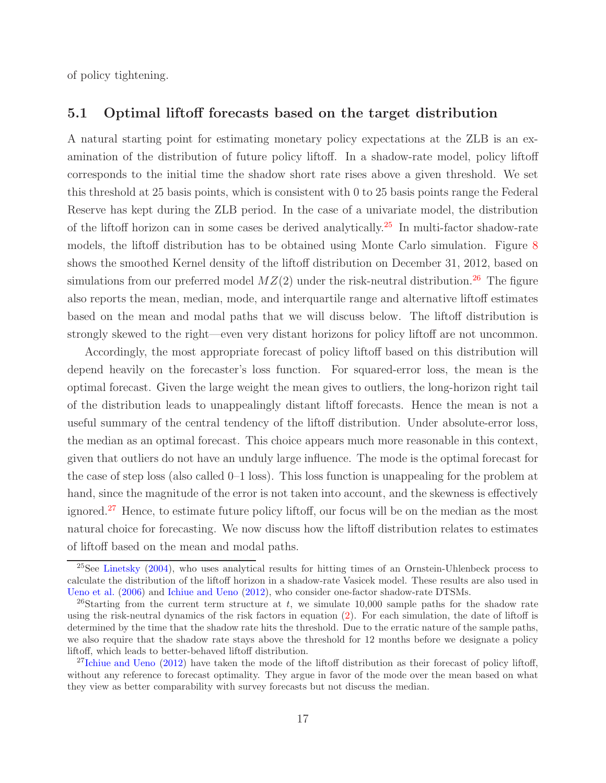<span id="page-18-0"></span>of policy tightening.

#### 5.1 Optimal liftoff forecasts based on the target distribution

A natural starting point for estimating monetary policy expectations at the ZLB is an examination of the distribution of future policy liftoff. In a shadow-rate model, policy liftoff corresponds to the initial time the shadow short rate rises above a given threshold. We set this threshold at 25 basis points, which is consistent with 0 to 25 basis points range the Federal Reserve has kept during the ZLB period. In the case of a univariate model, the distribution of the liftoff horizon can in some cases be derived analytically.<sup>[25](#page-18-1)</sup> In multi-factor shadow-rate models, the liftoff distribution has to be obtained using Monte Carlo simulation. Figure [8](#page-42-0) shows the smoothed Kernel density of the liftoff distribution on December 31, 2012, based on simulations from our preferred model  $MZ(2)$  under the risk-neutral distribution.<sup>[26](#page-18-2)</sup> The figure also reports the mean, median, mode, and interquartile range and alternative liftoff estimates based on the mean and modal paths that we will discuss below. The liftoff distribution is strongly skewed to the right—even very distant horizons for policy liftoff are not uncommon.

Accordingly, the most appropriate forecast of policy liftoff based on this distribution will depend heavily on the forecaster's loss function. For squared-error loss, the mean is the optimal forecast. Given the large weight the mean gives to outliers, the long-horizon right tail of the distribution leads to unappealingly distant liftoff forecasts. Hence the mean is not a useful summary of the central tendency of the liftoff distribution. Under absolute-error loss, the median as an optimal forecast. This choice appears much more reasonable in this context, given that outliers do not have an unduly large influence. The mode is the optimal forecast for the case of step loss (also called 0–1 loss). This loss function is unappealing for the problem at hand, since the magnitude of the error is not taken into account, and the skewness is effectively ignored.[27](#page-18-3) Hence, to estimate future policy liftoff, our focus will be on the median as the most natural choice for forecasting. We now discuss how the liftoff distribution relates to estimates of liftoff based on the mean and modal paths.

<span id="page-18-1"></span> $^{25}$ See [Linetsky](#page-27-12) [\(2004](#page-27-12)), who uses analytical results for hitting times of an Ornstein-Uhlenbeck process to calculate the distribution of the liftoff horizon in a shadow-rate Vasicek model. These results are also used in [Ueno et al.](#page-28-2) [\(2006](#page-28-2)) and [Ichiue and Ueno](#page-26-11) [\(2012\)](#page-26-11), who consider one-factor shadow-rate DTSMs.

<span id="page-18-2"></span><sup>&</sup>lt;sup>26</sup>Starting from the current term structure at t, we simulate 10,000 sample paths for the shadow rate using the risk-neutral dynamics of the risk factors in equation [\(2\)](#page-6-2). For each simulation, the date of liftoff is determined by the time that the shadow rate hits the threshold. Due to the erratic nature of the sample paths, we also require that the shadow rate stays above the threshold for 12 months before we designate a policy liftoff, which leads to better-behaved liftoff distribution.

<span id="page-18-3"></span><sup>&</sup>lt;sup>27</sup>[Ichiue and Ueno](#page-26-11) [\(2012\)](#page-26-11) have taken the mode of the liftoff distribution as their forecast of policy liftoff, without any reference to forecast optimality. They argue in favor of the mode over the mean based on what they view as better comparability with survey forecasts but not discuss the median.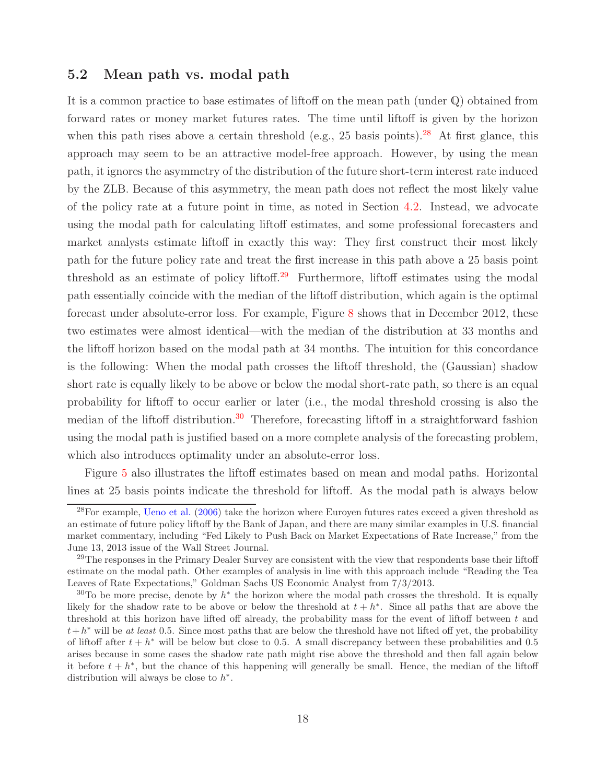#### 5.2 Mean path vs. modal path

It is a common practice to base estimates of liftoff on the mean path (under Q) obtained from forward rates or money market futures rates. The time until liftoff is given by the horizon when this path rises above a certain threshold (e.g., 25 basis points).<sup>[28](#page-19-0)</sup> At first glance, this approach may seem to be an attractive model-free approach. However, by using the mean path, it ignores the asymmetry of the distribution of the future short-term interest rate induced by the ZLB. Because of this asymmetry, the mean path does not reflect the most likely value of the policy rate at a future point in time, as noted in Section [4.2.](#page-15-0) Instead, we advocate using the modal path for calculating liftoff estimates, and some professional forecasters and market analysts estimate liftoff in exactly this way: They first construct their most likely path for the future policy rate and treat the first increase in this path above a 25 basis point threshold as an estimate of policy liftoff.<sup>[29](#page-19-1)</sup> Furthermore, liftoff estimates using the modal path essentially coincide with the median of the liftoff distribution, which again is the optimal forecast under absolute-error loss. For example, Figure [8](#page-42-0) shows that in December 2012, these two estimates were almost identical—with the median of the distribution at 33 months and the liftoff horizon based on the modal path at 34 months. The intuition for this concordance is the following: When the modal path crosses the liftoff threshold, the (Gaussian) shadow short rate is equally likely to be above or below the modal short-rate path, so there is an equal probability for liftoff to occur earlier or later (i.e., the modal threshold crossing is also the median of the liftoff distribution.<sup>[30](#page-19-2)</sup> Therefore, forecasting liftoff in a straightforward fashion using the modal path is justified based on a more complete analysis of the forecasting problem, which also introduces optimality under an absolute-error loss.

Figure [5](#page-39-0) also illustrates the liftoff estimates based on mean and modal paths. Horizontal lines at 25 basis points indicate the threshold for liftoff. As the modal path is always below

<span id="page-19-0"></span> $^{28}$ For example, [Ueno et al.](#page-28-2) [\(2006](#page-28-2)) take the horizon where Euroyen futures rates exceed a given threshold as an estimate of future policy liftoff by the Bank of Japan, and there are many similar examples in U.S. financial market commentary, including "Fed Likely to Push Back on Market Expectations of Rate Increase," from the June 13, 2013 issue of the Wall Street Journal.

<span id="page-19-1"></span><sup>&</sup>lt;sup>29</sup>The responses in the Primary Dealer Survey are consistent with the view that respondents base their liftoff estimate on the modal path. Other examples of analysis in line with this approach include "Reading the Tea Leaves of Rate Expectations," Goldman Sachs US Economic Analyst from 7/3/2013.

<span id="page-19-2"></span><sup>&</sup>lt;sup>30</sup>To be more precise, denote by  $h^*$  the horizon where the modal path crosses the threshold. It is equally likely for the shadow rate to be above or below the threshold at  $t + h^*$ . Since all paths that are above the threshold at this horizon have lifted off already, the probability mass for the event of liftoff between t and  $t+h^*$  will be at least 0.5. Since most paths that are below the threshold have not lifted off yet, the probability of liftoff after  $t + h^*$  will be below but close to 0.5. A small discrepancy between these probabilities and 0.5 arises because in some cases the shadow rate path might rise above the threshold and then fall again below it before  $t + h^*$ , but the chance of this happening will generally be small. Hence, the median of the liftoff distribution will always be close to  $h^*$ .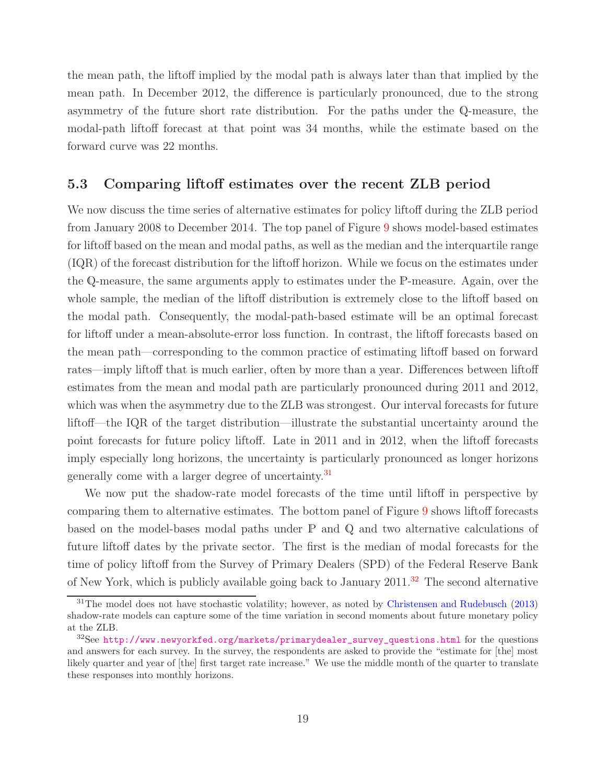the mean path, the liftoff implied by the modal path is always later than that implied by the mean path. In December 2012, the difference is particularly pronounced, due to the strong asymmetry of the future short rate distribution. For the paths under the Q-measure, the modal-path liftoff forecast at that point was 34 months, while the estimate based on the forward curve was 22 months.

#### 5.3 Comparing liftoff estimates over the recent ZLB period

We now discuss the time series of alternative estimates for policy liftoff during the ZLB period from January 2008 to December 2014. The top panel of Figure [9](#page-43-0) shows model-based estimates for liftoff based on the mean and modal paths, as well as the median and the interquartile range (IQR) of the forecast distribution for the liftoff horizon. While we focus on the estimates under the Q-measure, the same arguments apply to estimates under the P-measure. Again, over the whole sample, the median of the liftoff distribution is extremely close to the liftoff based on the modal path. Consequently, the modal-path-based estimate will be an optimal forecast for liftoff under a mean-absolute-error loss function. In contrast, the liftoff forecasts based on the mean path—corresponding to the common practice of estimating liftoff based on forward rates—imply liftoff that is much earlier, often by more than a year. Differences between liftoff estimates from the mean and modal path are particularly pronounced during 2011 and 2012, which was when the asymmetry due to the ZLB was strongest. Our interval forecasts for future liftoff—the IQR of the target distribution—illustrate the substantial uncertainty around the point forecasts for future policy liftoff. Late in 2011 and in 2012, when the liftoff forecasts imply especially long horizons, the uncertainty is particularly pronounced as longer horizons generally come with a larger degree of uncertainty.<sup>[31](#page-20-0)</sup>

We now put the shadow-rate model forecasts of the time until liftoff in perspective by comparing them to alternative estimates. The bottom panel of Figure [9](#page-43-0) shows liftoff forecasts based on the model-bases modal paths under P and Q and two alternative calculations of future liftoff dates by the private sector. The first is the median of modal forecasts for the time of policy liftoff from the Survey of Primary Dealers (SPD) of the Federal Reserve Bank of New York, which is publicly available going back to January  $2011<sup>32</sup>$  $2011<sup>32</sup>$  $2011<sup>32</sup>$  The second alternative

<span id="page-20-0"></span> $31$ The model does not have stochastic volatility; however, as noted by [Christensen and Rudebusch](#page-25-3) [\(2013](#page-25-3)) shadow-rate models can capture some of the time variation in second moments about future monetary policy at the ZLB.

<span id="page-20-1"></span> $32$ See [http://www.newyorkfed.org/markets/primarydealer\\_survey\\_questions.html](http://www.newyorkfed.org/markets/primarydealer_survey_questions.html) for the questions and answers for each survey. In the survey, the respondents are asked to provide the "estimate for [the] most likely quarter and year of [the] first target rate increase." We use the middle month of the quarter to translate these responses into monthly horizons.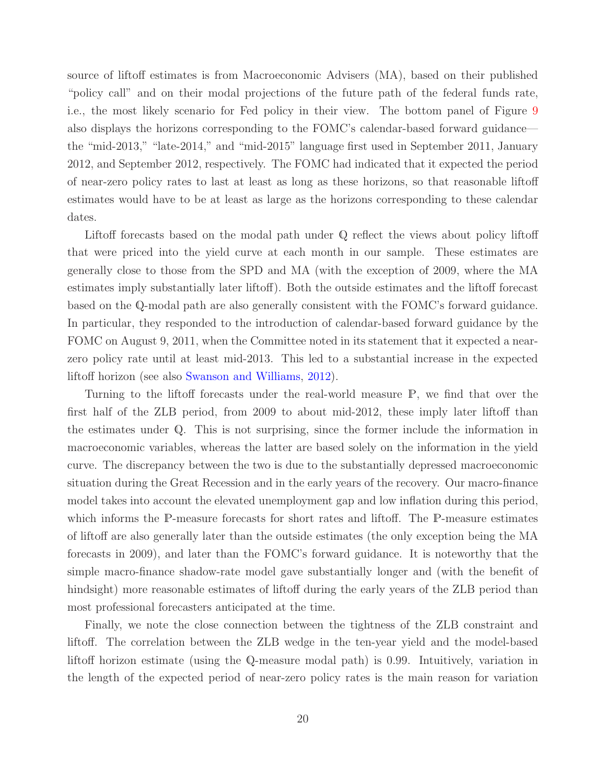source of liftoff estimates is from Macroeconomic Advisers (MA), based on their published "policy call" and on their modal projections of the future path of the federal funds rate, i.e., the most likely scenario for Fed policy in their view. The bottom panel of Figure [9](#page-43-0) also displays the horizons corresponding to the FOMC's calendar-based forward guidance the "mid-2013," "late-2014," and "mid-2015" language first used in September 2011, January 2012, and September 2012, respectively. The FOMC had indicated that it expected the period of near-zero policy rates to last at least as long as these horizons, so that reasonable liftoff estimates would have to be at least as large as the horizons corresponding to these calendar dates.

Liftoff forecasts based on the modal path under Q reflect the views about policy liftoff that were priced into the yield curve at each month in our sample. These estimates are generally close to those from the SPD and MA (with the exception of 2009, where the MA estimates imply substantially later liftoff). Both the outside estimates and the liftoff forecast based on the Q-modal path are also generally consistent with the FOMC's forward guidance. In particular, they responded to the introduction of calendar-based forward guidance by the FOMC on August 9, 2011, when the Committee noted in its statement that it expected a nearzero policy rate until at least mid-2013. This led to a substantial increase in the expected liftoff horizon (see also [Swanson and Williams,](#page-28-3) [2012](#page-28-3)).

Turning to the liftoff forecasts under the real-world measure P, we find that over the first half of the ZLB period, from 2009 to about mid-2012, these imply later liftoff than the estimates under  $Q$ . This is not surprising, since the former include the information in macroeconomic variables, whereas the latter are based solely on the information in the yield curve. The discrepancy between the two is due to the substantially depressed macroeconomic situation during the Great Recession and in the early years of the recovery. Our macro-finance model takes into account the elevated unemployment gap and low inflation during this period, which informs the P-measure forecasts for short rates and liftoff. The P-measure estimates of liftoff are also generally later than the outside estimates (the only exception being the MA forecasts in 2009), and later than the FOMC's forward guidance. It is noteworthy that the simple macro-finance shadow-rate model gave substantially longer and (with the benefit of hindsight) more reasonable estimates of liftoff during the early years of the ZLB period than most professional forecasters anticipated at the time.

Finally, we note the close connection between the tightness of the ZLB constraint and liftoff. The correlation between the ZLB wedge in the ten-year yield and the model-based liftoff horizon estimate (using the Q-measure modal path) is 0.99. Intuitively, variation in the length of the expected period of near-zero policy rates is the main reason for variation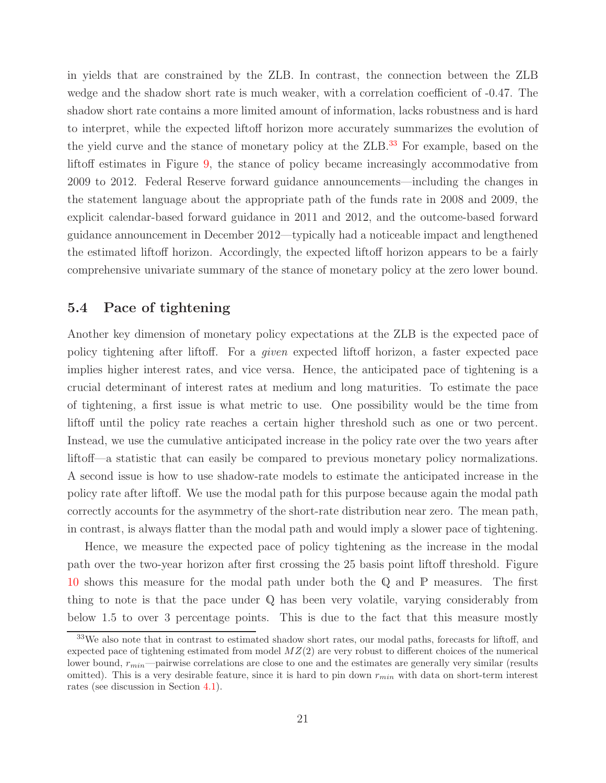in yields that are constrained by the ZLB. In contrast, the connection between the ZLB wedge and the shadow short rate is much weaker, with a correlation coefficient of -0.47. The shadow short rate contains a more limited amount of information, lacks robustness and is hard to interpret, while the expected liftoff horizon more accurately summarizes the evolution of the yield curve and the stance of monetary policy at the ZLB.<sup>[33](#page-22-0)</sup> For example, based on the liftoff estimates in Figure [9,](#page-43-0) the stance of policy became increasingly accommodative from 2009 to 2012. Federal Reserve forward guidance announcements—including the changes in the statement language about the appropriate path of the funds rate in 2008 and 2009, the explicit calendar-based forward guidance in 2011 and 2012, and the outcome-based forward guidance announcement in December 2012—typically had a noticeable impact and lengthened the estimated liftoff horizon. Accordingly, the expected liftoff horizon appears to be a fairly comprehensive univariate summary of the stance of monetary policy at the zero lower bound.

### 5.4 Pace of tightening

Another key dimension of monetary policy expectations at the ZLB is the expected pace of policy tightening after liftoff. For a given expected liftoff horizon, a faster expected pace implies higher interest rates, and vice versa. Hence, the anticipated pace of tightening is a crucial determinant of interest rates at medium and long maturities. To estimate the pace of tightening, a first issue is what metric to use. One possibility would be the time from liftoff until the policy rate reaches a certain higher threshold such as one or two percent. Instead, we use the cumulative anticipated increase in the policy rate over the two years after liftoff—a statistic that can easily be compared to previous monetary policy normalizations. A second issue is how to use shadow-rate models to estimate the anticipated increase in the policy rate after liftoff. We use the modal path for this purpose because again the modal path correctly accounts for the asymmetry of the short-rate distribution near zero. The mean path, in contrast, is always flatter than the modal path and would imply a slower pace of tightening.

Hence, we measure the expected pace of policy tightening as the increase in the modal path over the two-year horizon after first crossing the 25 basis point liftoff threshold. Figure [10](#page-44-0) shows this measure for the modal path under both the Q and P measures. The first thing to note is that the pace under Q has been very volatile, varying considerably from below 1.5 to over 3 percentage points. This is due to the fact that this measure mostly

<span id="page-22-0"></span><sup>&</sup>lt;sup>33</sup>We also note that in contrast to estimated shadow short rates, our modal paths, forecasts for liftoff, and expected pace of tightening estimated from model  $MZ(2)$  are very robust to different choices of the numerical lower bound,  $r_{min}$ —pairwise correlations are close to one and the estimates are generally very similar (results omitted). This is a very desirable feature, since it is hard to pin down  $r_{min}$  with data on short-term interest rates (see discussion in Section [4.1\)](#page-14-2).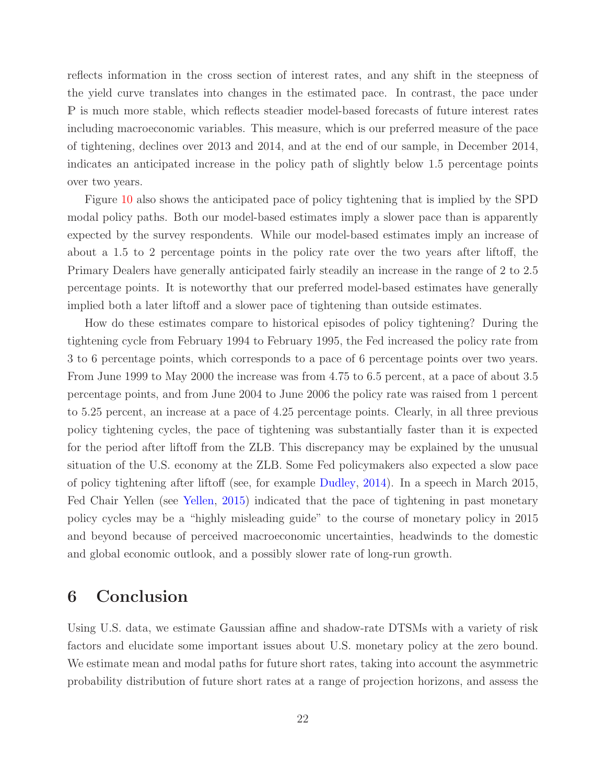reflects information in the cross section of interest rates, and any shift in the steepness of the yield curve translates into changes in the estimated pace. In contrast, the pace under P is much more stable, which reflects steadier model-based forecasts of future interest rates including macroeconomic variables. This measure, which is our preferred measure of the pace of tightening, declines over 2013 and 2014, and at the end of our sample, in December 2014, indicates an anticipated increase in the policy path of slightly below 1.5 percentage points over two years.

Figure [10](#page-44-0) also shows the anticipated pace of policy tightening that is implied by the SPD modal policy paths. Both our model-based estimates imply a slower pace than is apparently expected by the survey respondents. While our model-based estimates imply an increase of about a 1.5 to 2 percentage points in the policy rate over the two years after liftoff, the Primary Dealers have generally anticipated fairly steadily an increase in the range of 2 to 2.5 percentage points. It is noteworthy that our preferred model-based estimates have generally implied both a later liftoff and a slower pace of tightening than outside estimates.

How do these estimates compare to historical episodes of policy tightening? During the tightening cycle from February 1994 to February 1995, the Fed increased the policy rate from 3 to 6 percentage points, which corresponds to a pace of 6 percentage points over two years. From June 1999 to May 2000 the increase was from 4.75 to 6.5 percent, at a pace of about 3.5 percentage points, and from June 2004 to June 2006 the policy rate was raised from 1 percent to 5.25 percent, an increase at a pace of 4.25 percentage points. Clearly, in all three previous policy tightening cycles, the pace of tightening was substantially faster than it is expected for the period after liftoff from the ZLB. This discrepancy may be explained by the unusual situation of the U.S. economy at the ZLB. Some Fed policymakers also expected a slow pace of policy tightening after liftoff (see, for example [Dudley,](#page-26-12) [2014\)](#page-26-12). In a speech in March 2015, Fed Chair Yellen (see [Yellen](#page-28-4), [2015\)](#page-28-4) indicated that the pace of tightening in past monetary policy cycles may be a "highly misleading guide" to the course of monetary policy in 2015 and beyond because of perceived macroeconomic uncertainties, headwinds to the domestic and global economic outlook, and a possibly slower rate of long-run growth.

## <span id="page-23-0"></span>6 Conclusion

Using U.S. data, we estimate Gaussian affine and shadow-rate DTSMs with a variety of risk factors and elucidate some important issues about U.S. monetary policy at the zero bound. We estimate mean and modal paths for future short rates, taking into account the asymmetric probability distribution of future short rates at a range of projection horizons, and assess the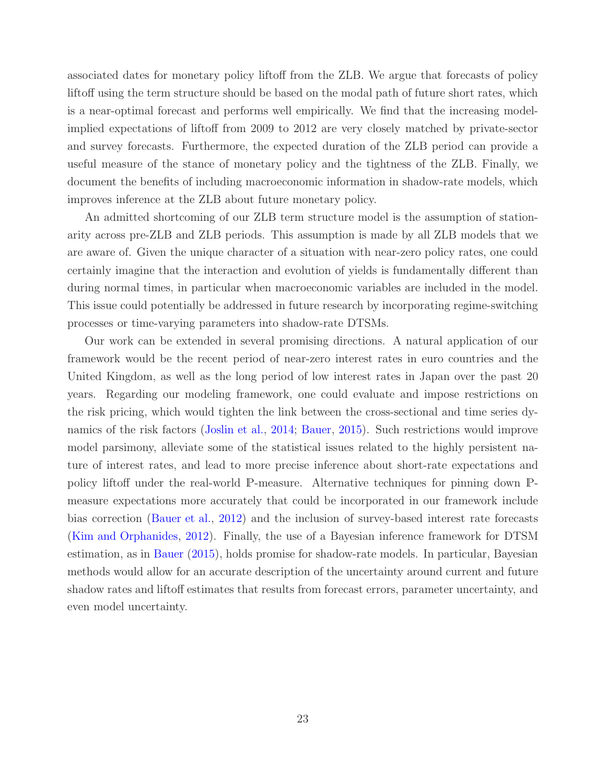associated dates for monetary policy liftoff from the ZLB. We argue that forecasts of policy liftoff using the term structure should be based on the modal path of future short rates, which is a near-optimal forecast and performs well empirically. We find that the increasing modelimplied expectations of liftoff from 2009 to 2012 are very closely matched by private-sector and survey forecasts. Furthermore, the expected duration of the ZLB period can provide a useful measure of the stance of monetary policy and the tightness of the ZLB. Finally, we document the benefits of including macroeconomic information in shadow-rate models, which improves inference at the ZLB about future monetary policy.

An admitted shortcoming of our ZLB term structure model is the assumption of stationarity across pre-ZLB and ZLB periods. This assumption is made by all ZLB models that we are aware of. Given the unique character of a situation with near-zero policy rates, one could certainly imagine that the interaction and evolution of yields is fundamentally different than during normal times, in particular when macroeconomic variables are included in the model. This issue could potentially be addressed in future research by incorporating regime-switching processes or time-varying parameters into shadow-rate DTSMs.

Our work can be extended in several promising directions. A natural application of our framework would be the recent period of near-zero interest rates in euro countries and the United Kingdom, as well as the long period of low interest rates in Japan over the past 20 years. Regarding our modeling framework, one could evaluate and impose restrictions on the risk pricing, which would tighten the link between the cross-sectional and time series dynamics of the risk factors [\(Joslin et al.](#page-27-7), [2014](#page-27-7); [Bauer](#page-25-10), [2015\)](#page-25-10). Such restrictions would improve model parsimony, alleviate some of the statistical issues related to the highly persistent nature of interest rates, and lead to more precise inference about short-rate expectations and policy liftoff under the real-world P-measure. Alternative techniques for pinning down Pmeasure expectations more accurately that could be incorporated in our framework include bias correction [\(Bauer et al.](#page-25-9), [2012\)](#page-25-9) and the inclusion of survey-based interest rate forecasts [\(Kim and Orphanides](#page-27-11), [2012](#page-27-11)). Finally, the use of a Bayesian inference framework for DTSM estimation, as in [Bauer](#page-25-10) [\(2015](#page-25-10)), holds promise for shadow-rate models. In particular, Bayesian methods would allow for an accurate description of the uncertainty around current and future shadow rates and liftoff estimates that results from forecast errors, parameter uncertainty, and even model uncertainty.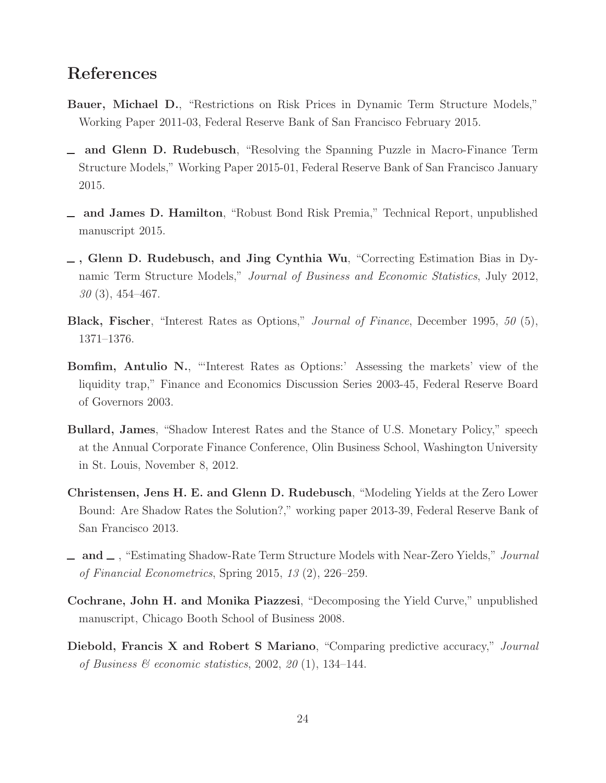## References

- <span id="page-25-10"></span>Bauer, Michael D., "Restrictions on Risk Prices in Dynamic Term Structure Models," Working Paper 2011-03, Federal Reserve Bank of San Francisco February 2015.
- <span id="page-25-5"></span>and Glenn D. Rudebusch, "Resolving the Spanning Puzzle in Macro-Finance Term Structure Models," Working Paper 2015-01, Federal Reserve Bank of San Francisco January 2015.
- <span id="page-25-7"></span>and James D. Hamilton, "Robust Bond Risk Premia," Technical Report, unpublished manuscript 2015.
- <span id="page-25-9"></span>, Glenn D. Rudebusch, and Jing Cynthia Wu, "Correcting Estimation Bias in Dynamic Term Structure Models," Journal of Business and Economic Statistics, July 2012, 30 (3), 454–467.
- <span id="page-25-0"></span>Black, Fischer, "Interest Rates as Options," Journal of Finance, December 1995, 50 (5), 1371–1376.
- <span id="page-25-1"></span>Bomfim, Antulio N., "'Interest Rates as Options:' Assessing the markets' view of the liquidity trap," Finance and Economics Discussion Series 2003-45, Federal Reserve Board of Governors 2003.
- <span id="page-25-2"></span>Bullard, James, "Shadow Interest Rates and the Stance of U.S. Monetary Policy," speech at the Annual Corporate Finance Conference, Olin Business School, Washington University in St. Louis, November 8, 2012.
- <span id="page-25-3"></span>Christensen, Jens H. E. and Glenn D. Rudebusch, "Modeling Yields at the Zero Lower Bound: Are Shadow Rates the Solution?," working paper 2013-39, Federal Reserve Bank of San Francisco 2013.
- <span id="page-25-4"></span> $\Box$  and  $\Box$ , "Estimating Shadow-Rate Term Structure Models with Near-Zero Yields," *Journal* of Financial Econometrics, Spring 2015, 13 (2), 226–259.
- <span id="page-25-8"></span>Cochrane, John H. and Monika Piazzesi, "Decomposing the Yield Curve," unpublished manuscript, Chicago Booth School of Business 2008.
- <span id="page-25-6"></span>Diebold, Francis X and Robert S Mariano, "Comparing predictive accuracy," Journal of Business  $\mathcal C$  economic statistics, 2002, 20 (1), 134–144.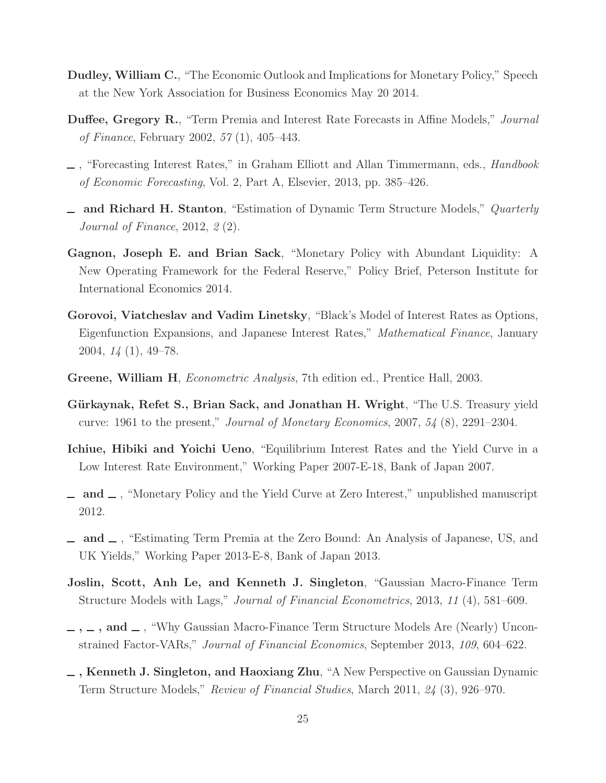- <span id="page-26-12"></span>Dudley, William C., "The Economic Outlook and Implications for Monetary Policy," Speech at the New York Association for Business Economics May 20 2014.
- <span id="page-26-3"></span>Duffee, Gregory R., "Term Premia and Interest Rate Forecasts in Affine Models," Journal of Finance, February 2002, 57 (1), 405–443.
- <span id="page-26-8"></span> $\Box$ , "Forecasting Interest Rates," in Graham Elliott and Allan Timmermann, eds., *Handbook* of Economic Forecasting, Vol. 2, Part A, Elsevier, 2013, pp. 385–426.
- <span id="page-26-10"></span>**4.** and Richard H. Stanton, "Estimation of Dynamic Term Structure Models," *Quarterly* Journal of Finance, 2012, 2 (2).
- <span id="page-26-9"></span>Gagnon, Joseph E. and Brian Sack, "Monetary Policy with Abundant Liquidity: A New Operating Framework for the Federal Reserve," Policy Brief, Peterson Institute for International Economics 2014.
- <span id="page-26-0"></span>Gorovoi, Viatcheslav and Vadim Linetsky, "Black's Model of Interest Rates as Options, Eigenfunction Expansions, and Japanese Interest Rates," Mathematical Finance, January 2004, 14 (1), 49–78.
- <span id="page-26-13"></span>Greene, William H, *Econometric Analysis*, 7th edition ed., Prentice Hall, 2003.
- <span id="page-26-7"></span>Gürkaynak, Refet S., Brian Sack, and Jonathan H. Wright, "The U.S. Treasury yield curve: 1961 to the present," Journal of Monetary Economics, 2007, 54 (8), 2291–2304.
- <span id="page-26-1"></span>Ichiue, Hibiki and Yoichi Ueno, "Equilibrium Interest Rates and the Yield Curve in a Low Interest Rate Environment," Working Paper 2007-E-18, Bank of Japan 2007.
- <span id="page-26-11"></span> $\Box$  and  $\Box$ , "Monetary Policy and the Yield Curve at Zero Interest," unpublished manuscript 2012.
- <span id="page-26-2"></span> $\Box$  and  $\Box$ , "Estimating Term Premia at the Zero Bound: An Analysis of Japanese, US, and UK Yields," Working Paper 2013-E-8, Bank of Japan 2013.
- <span id="page-26-6"></span>Joslin, Scott, Anh Le, and Kenneth J. Singleton, "Gaussian Macro-Finance Term Structure Models with Lags," Journal of Financial Econometrics, 2013, 11 (4), 581–609.
- <span id="page-26-5"></span> $\,\underline{\hspace{0.1cm}}$ , , and  $\,\underline{\hspace{0.1cm}}$ , "Why Gaussian Macro-Finance Term Structure Models Are (Nearly) Unconstrained Factor-VARs," Journal of Financial Economics, September 2013, 109, 604–622.
- <span id="page-26-4"></span>, Kenneth J. Singleton, and Haoxiang Zhu, "A New Perspective on Gaussian Dynamic Term Structure Models," Review of Financial Studies, March 2011, 24 (3), 926–970.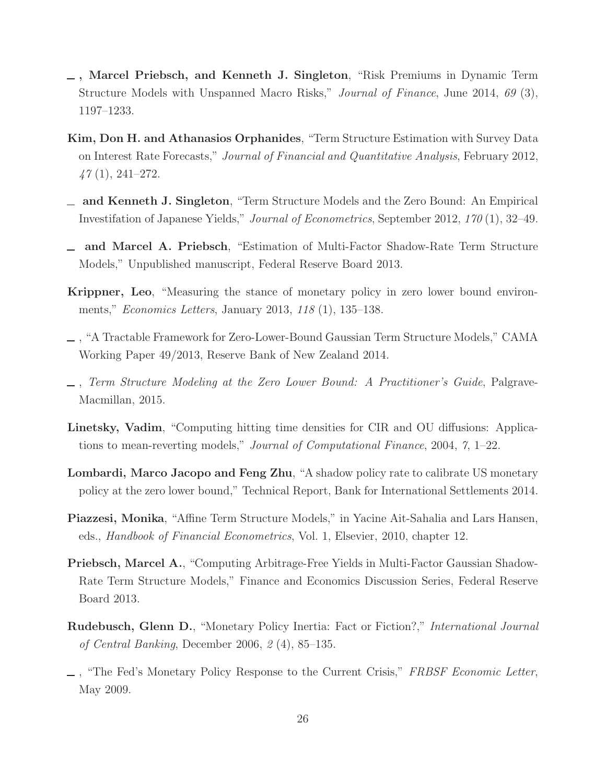- <span id="page-27-7"></span>, Marcel Priebsch, and Kenneth J. Singleton, "Risk Premiums in Dynamic Term Structure Models with Unspanned Macro Risks," *Journal of Finance*, June 2014, 69 (3), 1197–1233.
- <span id="page-27-11"></span>Kim, Don H. and Athanasios Orphanides, "Term Structure Estimation with Survey Data on Interest Rate Forecasts," Journal of Financial and Quantitative Analysis, February 2012,  $47(1), 241-272.$
- <span id="page-27-2"></span>and Kenneth J. Singleton, "Term Structure Models and the Zero Bound: An Empirical Investifation of Japanese Yields," Journal of Econometrics, September 2012, 170 (1), 32–49.
- <span id="page-27-4"></span>and Marcel A. Priebsch, "Estimation of Multi-Factor Shadow-Rate Term Structure Models," Unpublished manuscript, Federal Reserve Board 2013.
- <span id="page-27-1"></span>Krippner, Leo, "Measuring the stance of monetary policy in zero lower bound environments," Economics Letters, January 2013, 118 (1), 135–138.
- <span id="page-27-5"></span>, "A Tractable Framework for Zero-Lower-Bound Gaussian Term Structure Models," CAMA Working Paper 49/2013, Reserve Bank of New Zealand 2014.
- <span id="page-27-3"></span>, Term Structure Modeling at the Zero Lower Bound: A Practitioner's Guide, Palgrave-Macmillan, 2015.
- <span id="page-27-12"></span>Linetsky, Vadim, "Computing hitting time densities for CIR and OU diffusions: Applications to mean-reverting models," Journal of Computational Finance, 2004, 7, 1–22.
- <span id="page-27-10"></span>Lombardi, Marco Jacopo and Feng Zhu, "A shadow policy rate to calibrate US monetary policy at the zero lower bound," Technical Report, Bank for International Settlements 2014.
- <span id="page-27-0"></span>Piazzesi, Monika, "Affine Term Structure Models," in Yacine Ait-Sahalia and Lars Hansen, eds., Handbook of Financial Econometrics, Vol. 1, Elsevier, 2010, chapter 12.
- <span id="page-27-6"></span>Priebsch, Marcel A., "Computing Arbitrage-Free Yields in Multi-Factor Gaussian Shadow-Rate Term Structure Models," Finance and Economics Discussion Series, Federal Reserve Board 2013.
- <span id="page-27-8"></span>Rudebusch, Glenn D., "Monetary Policy Inertia: Fact or Fiction?," International Journal of Central Banking, December 2006, 2 (4), 85–135.
- <span id="page-27-9"></span>, "The Fed's Monetary Policy Response to the Current Crisis," FRBSF Economic Letter, May 2009.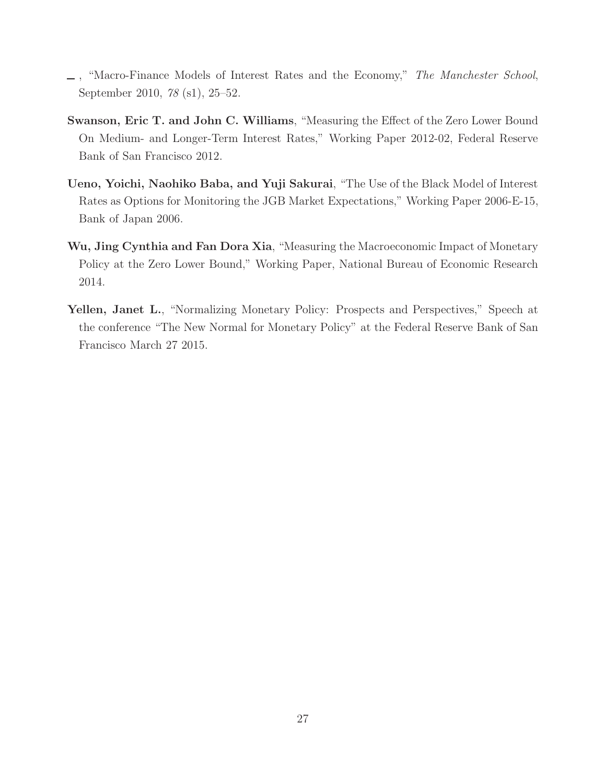- <span id="page-28-0"></span>, "Macro-Finance Models of Interest Rates and the Economy," The Manchester School, September 2010, 78 (s1), 25–52.
- <span id="page-28-3"></span>Swanson, Eric T. and John C. Williams, "Measuring the Effect of the Zero Lower Bound On Medium- and Longer-Term Interest Rates," Working Paper 2012-02, Federal Reserve Bank of San Francisco 2012.
- <span id="page-28-2"></span>Ueno, Yoichi, Naohiko Baba, and Yuji Sakurai, "The Use of the Black Model of Interest Rates as Options for Monitoring the JGB Market Expectations," Working Paper 2006-E-15, Bank of Japan 2006.
- <span id="page-28-1"></span>Wu, Jing Cynthia and Fan Dora Xia, "Measuring the Macroeconomic Impact of Monetary Policy at the Zero Lower Bound," Working Paper, National Bureau of Economic Research 2014.
- <span id="page-28-4"></span>Yellen, Janet L., "Normalizing Monetary Policy: Prospects and Perspectives," Speech at the conference "The New Normal for Monetary Policy" at the Federal Reserve Bank of San Francisco March 27 2015.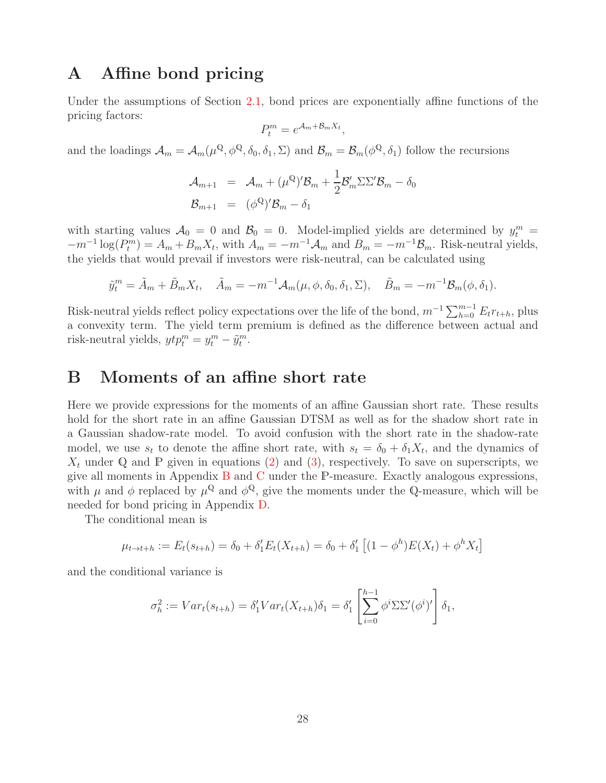## <span id="page-29-0"></span>A Affine bond pricing

Under the assumptions of Section [2.1,](#page-5-2) bond prices are exponentially affine functions of the pricing factors:

$$
P_t^m = e^{\mathcal{A}_m + \mathcal{B}_m X_t},
$$

and the loadings  $A_m = A_m(\mu^{\mathbb{Q}}, \phi^{\mathbb{Q}}, \delta_0, \delta_1, \Sigma)$  and  $\mathcal{B}_m = \mathcal{B}_m(\phi^{\mathbb{Q}}, \delta_1)$  follow the recursions

$$
\mathcal{A}_{m+1} = \mathcal{A}_m + (\mu^{\mathbb{Q}})' \mathcal{B}_m + \frac{1}{2} \mathcal{B}'_m \Sigma \Sigma' \mathcal{B}_m - \delta_0
$$
  

$$
\mathcal{B}_{m+1} = (\phi^{\mathbb{Q}})' \mathcal{B}_m - \delta_1
$$

with starting values  $A_0 = 0$  and  $B_0 = 0$ . Model-implied yields are determined by  $y_t^m =$  $-m^{-1}\log(P_t^m) = A_m + B_m X_t$ , with  $A_m = -m^{-1}A_m$  and  $B_m = -m^{-1}\mathcal{B}_m$ . Risk-neutral yields, the yields that would prevail if investors were risk-neutral, can be calculated using

$$
\tilde{y}_t^m = \tilde{A}_m + \tilde{B}_m X_t, \quad \tilde{A}_m = -m^{-1} \mathcal{A}_m(\mu, \phi, \delta_0, \delta_1, \Sigma), \quad \tilde{B}_m = -m^{-1} \mathcal{B}_m(\phi, \delta_1).
$$

Risk-neutral yields reflect policy expectations over the life of the bond,  $m^{-1} \sum_{h=0}^{m-1} E_t r_{t+h}$ , plus a convexity term. The yield term premium is defined as the difference between actual and risk-neutral yields,  $ytp_t^m = y_t^m - \tilde{y}_t^m$ .

## <span id="page-29-1"></span>B Moments of an affine short rate

Here we provide expressions for the moments of an affine Gaussian short rate. These results hold for the short rate in an affine Gaussian DTSM as well as for the shadow short rate in a Gaussian shadow-rate model. To avoid confusion with the short rate in the shadow-rate model, we use  $s_t$  to denote the affine short rate, with  $s_t = \delta_0 + \delta_1 X_t$ , and the dynamics of  $X_t$  under Q and P given in equations [\(2\)](#page-6-2) and [\(3\)](#page-6-3), respectively. To save on superscripts, we give all moments in Appendix  $B$  and  $C$  under the  $P$ -measure. Exactly analogous expressions, with  $\mu$  and  $\phi$  replaced by  $\mu^{\mathbb{Q}}$  and  $\phi^{\mathbb{Q}}$ , give the moments under the Q-measure, which will be needed for bond pricing in Appendix [D.](#page-31-0)

The conditional mean is

$$
\mu_{t \to t+h} := E_t(s_{t+h}) = \delta_0 + \delta'_1 E_t(X_{t+h}) = \delta_0 + \delta'_1 \left[ (1 - \phi^h) E(X_t) + \phi^h X_t \right]
$$

and the conditional variance is

$$
\sigma_h^2 := Var_t(s_{t+h}) = \delta_1' Var_t(X_{t+h})\delta_1 = \delta_1' \left[ \sum_{i=0}^{h-1} \phi^i \Sigma \Sigma'(\phi^i)' \right] \delta_1,
$$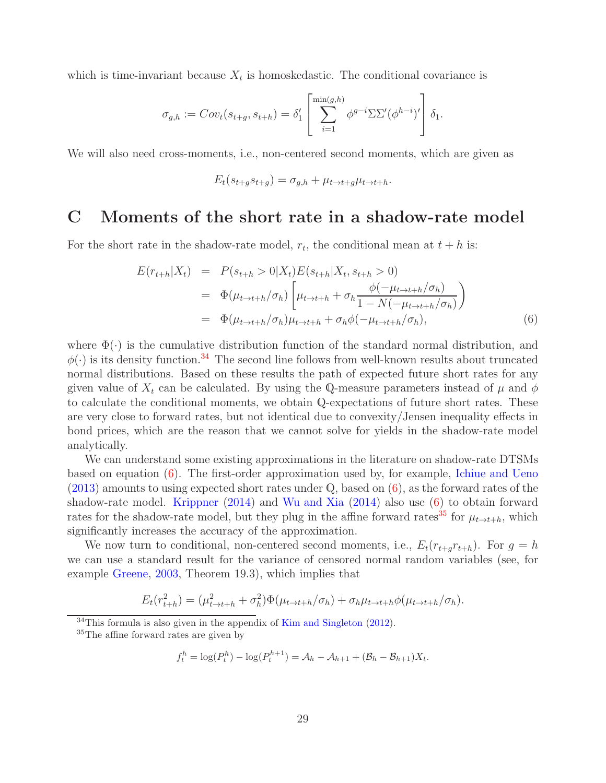which is time-invariant because  $X_t$  is homoskedastic. The conditional covariance is

$$
\sigma_{g,h} := Cov_t(s_{t+g}, s_{t+h}) = \delta_1' \left[ \sum_{i=1}^{\min(g,h)} \phi^{g-i} \Sigma \Sigma'(\phi^{h-i})' \right] \delta_1.
$$

We will also need cross-moments, i.e., non-centered second moments, which are given as

$$
E_t(s_{t+g}s_{t+g}) = \sigma_{g,h} + \mu_{t \to t+g} \mu_{t \to t+h}.
$$

### <span id="page-30-0"></span>C Moments of the short rate in a shadow-rate model

For the short rate in the shadow-rate model,  $r_t$ , the conditional mean at  $t + h$  is:

<span id="page-30-2"></span>
$$
E(r_{t+h}|X_t) = P(s_{t+h} > 0|X_t)E(s_{t+h}|X_t, s_{t+h} > 0)
$$
  
=  $\Phi(\mu_{t \to t+h}/\sigma_h) \left[ \mu_{t \to t+h} + \sigma_h \frac{\phi(-\mu_{t \to t+h}/\sigma_h)}{1 - N(-\mu_{t \to t+h}/\sigma_h)} \right)$   
=  $\Phi(\mu_{t \to t+h}/\sigma_h) \mu_{t \to t+h} + \sigma_h \phi(-\mu_{t \to t+h}/\sigma_h),$  (6)

where  $\Phi(\cdot)$  is the cumulative distribution function of the standard normal distribution, and  $\phi(\cdot)$  is its density function.<sup>[34](#page-30-1)</sup> The second line follows from well-known results about truncated normal distributions. Based on these results the path of expected future short rates for any given value of  $X_t$  can be calculated. By using the Q-measure parameters instead of  $\mu$  and  $\phi$ to calculate the conditional moments, we obtain Q-expectations of future short rates. These are very close to forward rates, but not identical due to convexity/Jensen inequality effects in bond prices, which are the reason that we cannot solve for yields in the shadow-rate model analytically.

We can understand some existing approximations in the literature on shadow-rate DTSMs based on equation [\(6\)](#page-30-2). The first-order approximation used by, for example, [Ichiue and Ueno](#page-26-2)  $(2013)$  $(2013)$  amounts to using expected short rates under Q, based on  $(6)$ , as the forward rates of the shadow-rate model. [Krippner](#page-27-5) [\(2014\)](#page-27-5) and [Wu and Xia](#page-28-1) [\(2014](#page-28-1)) also use [\(6\)](#page-30-2) to obtain forward rates for the shadow-rate model, but they plug in the affine forward rates<sup>[35](#page-30-3)</sup> for  $\mu_{t\to t+h}$ , which significantly increases the accuracy of the approximation.

We now turn to conditional, non-centered second moments, i.e.,  $E_t(r_{t+q}r_{t+h})$ . For  $g = h$ we can use a standard result for the variance of censored normal random variables (see, for example [Greene,](#page-26-13) [2003](#page-26-13), Theorem 19.3), which implies that

$$
E_t(r_{t+h}^2) = (\mu_{t\to t+h}^2 + \sigma_h^2) \Phi(\mu_{t\to t+h}/\sigma_h) + \sigma_h \mu_{t\to t+h} \phi(\mu_{t\to t+h}/\sigma_h).
$$

 $34$ This formula is also given in the appendix of [Kim and Singleton](#page-27-2) [\(2012\)](#page-27-2).

<span id="page-30-3"></span><span id="page-30-1"></span><sup>35</sup>The affine forward rates are given by

$$
f_t^h = \log(P_t^h) - \log(P_t^{h+1}) = \mathcal{A}_h - \mathcal{A}_{h+1} + (\mathcal{B}_h - \mathcal{B}_{h+1})X_t.
$$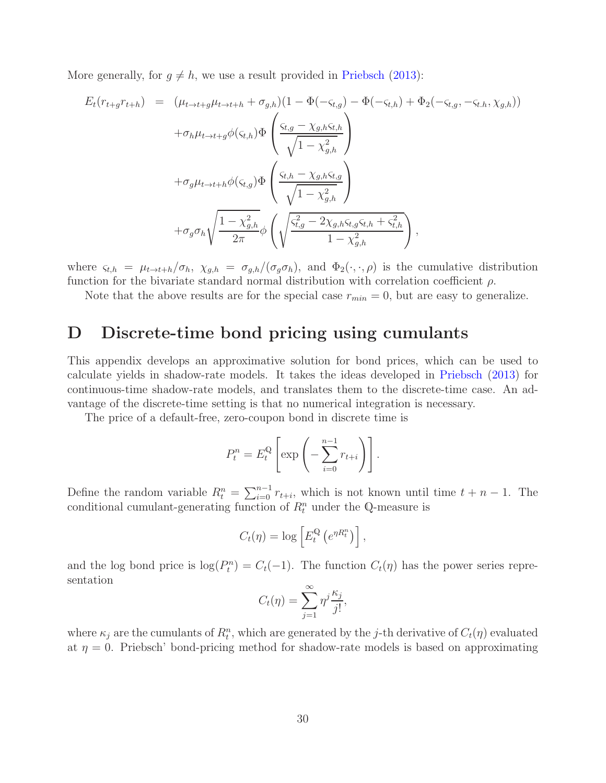More generally, for  $g \neq h$ , we use a result provided in [Priebsch](#page-27-6) [\(2013\)](#page-27-6):

$$
E_{t}(r_{t+g}r_{t+h}) = (\mu_{t\to t+g}\mu_{t\to t+h} + \sigma_{g,h})(1 - \Phi(-\varsigma_{t,g}) - \Phi(-\varsigma_{t,h}) + \Phi_{2}(-\varsigma_{t,g}, -\varsigma_{t,h}, \chi_{g,h}))
$$
  

$$
+ \sigma_{h}\mu_{t\to t+g}\phi(\varsigma_{t,h})\Phi\left(\frac{\varsigma_{t,g} - \chi_{g,h}\varsigma_{t,h}}{\sqrt{1 - \chi_{g,h}^{2}}}\right)
$$
  

$$
+ \sigma_{g}\mu_{t\to t+h}\phi(\varsigma_{t,g})\Phi\left(\frac{\varsigma_{t,h} - \chi_{g,h}\varsigma_{t,g}}{\sqrt{1 - \chi_{g,h}^{2}}}\right)
$$
  

$$
+ \sigma_{g}\sigma_{h}\sqrt{\frac{1 - \chi_{g,h}^{2}}{2\pi}}\phi\left(\sqrt{\frac{\varsigma_{t,g}^{2} - 2\chi_{g,h}\varsigma_{t,g}\varsigma_{t,h} + \varsigma_{t,h}^{2}}{1 - \chi_{g,h}^{2}}}\right),
$$

where  $\varsigma_{t,h} = \mu_{t\to t+h}/\sigma_h$ ,  $\chi_{g,h} = \sigma_{g,h}/(\sigma_g \sigma_h)$ , and  $\Phi_2(\cdot,\cdot,\rho)$  is the cumulative distribution function for the bivariate standard normal distribution with correlation coefficient  $\rho$ .

Note that the above results are for the special case  $r_{min} = 0$ , but are easy to generalize.

## <span id="page-31-0"></span>D Discrete-time bond pricing using cumulants

This appendix develops an approximative solution for bond prices, which can be used to calculate yields in shadow-rate models. It takes the ideas developed in [Priebsch](#page-27-6) [\(2013\)](#page-27-6) for continuous-time shadow-rate models, and translates them to the discrete-time case. An advantage of the discrete-time setting is that no numerical integration is necessary.

The price of a default-free, zero-coupon bond in discrete time is

$$
P_t^n = E_t^{\mathbb{Q}} \left[ \exp \left( -\sum_{i=0}^{n-1} r_{t+i} \right) \right].
$$

Define the random variable  $R_t^n = \sum_{i=0}^{n-1} r_{t+i}$ , which is not known until time  $t + n - 1$ . The conditional cumulant-generating function of  $R_t^n$  under the Q-measure is

$$
C_t(\eta) = \log \left[ E_t^{\mathbb{Q}} \left( e^{\eta R_t^n} \right) \right],
$$

and the log bond price is  $log(P_t^n) = C_t(-1)$ . The function  $C_t(\eta)$  has the power series representation

$$
C_t(\eta) = \sum_{j=1}^{\infty} \eta^j \frac{\kappa_j}{j!},
$$

where  $\kappa_j$  are the cumulants of  $R_t^n$ , which are generated by the j-th derivative of  $C_t(\eta)$  evaluated at  $\eta = 0$ . Priebsch' bond-pricing method for shadow-rate models is based on approximating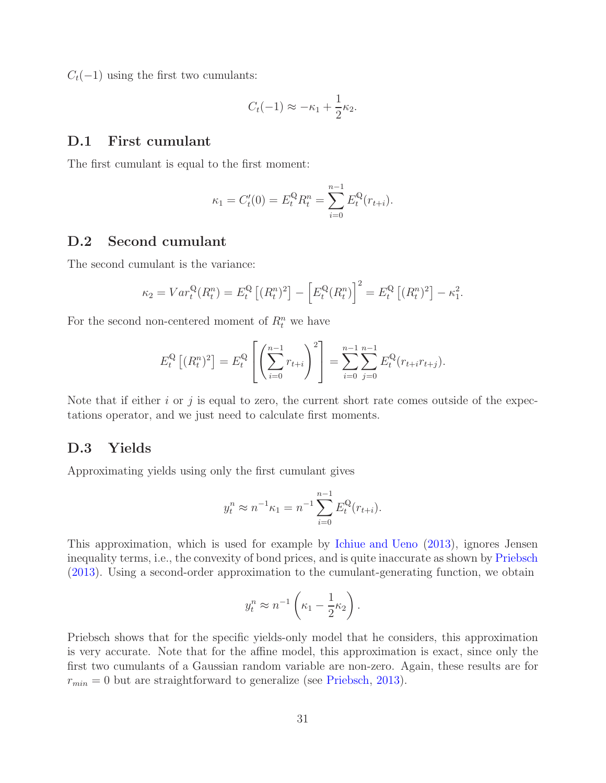$C_t(-1)$  using the first two cumulants:

$$
C_t(-1) \approx -\kappa_1 + \frac{1}{2}\kappa_2.
$$

#### D.1 First cumulant

The first cumulant is equal to the first moment:

$$
\kappa_1 = C'_t(0) = E_t^{\mathbb{Q}} R_t^n = \sum_{i=0}^{n-1} E_t^{\mathbb{Q}}(r_{t+i}).
$$

#### D.2 Second cumulant

The second cumulant is the variance:

$$
\kappa_2 = Var_t^{\mathbb{Q}}(R_t^n) = E_t^{\mathbb{Q}}[(R_t^n)^2] - \left[E_t^{\mathbb{Q}}(R_t^n)\right]^2 = E_t^{\mathbb{Q}}[(R_t^n)^2] - \kappa_1^2.
$$

For the second non-centered moment of  $R_t^n$  we have

$$
E_t^{\mathbb{Q}}\left[ (R_t^n)^2 \right] = E_t^{\mathbb{Q}}\left[ \left( \sum_{i=0}^{n-1} r_{t+i} \right)^2 \right] = \sum_{i=0}^{n-1} \sum_{j=0}^{n-1} E_t^{\mathbb{Q}}(r_{t+i}r_{t+j}).
$$

Note that if either i or j is equal to zero, the current short rate comes outside of the expectations operator, and we just need to calculate first moments.

#### D.3 Yields

Approximating yields using only the first cumulant gives

$$
y_t^n \approx n^{-1} \kappa_1 = n^{-1} \sum_{i=0}^{n-1} E_t^{\mathbb{Q}}(r_{t+i}).
$$

This approximation, which is used for example by [Ichiue and Ueno](#page-26-2) [\(2013\)](#page-26-2), ignores Jensen inequality terms, i.e., the convexity of bond prices, and is quite inaccurate as shown by [Priebsch](#page-27-6) [\(2013](#page-27-6)). Using a second-order approximation to the cumulant-generating function, we obtain

$$
y_t^n \approx n^{-1} \left( \kappa_1 - \frac{1}{2} \kappa_2 \right).
$$

Priebsch shows that for the specific yields-only model that he considers, this approximation is very accurate. Note that for the affine model, this approximation is exact, since only the first two cumulants of a Gaussian random variable are non-zero. Again, these results are for  $r_{min} = 0$  but are straightforward to generalize (see [Priebsch](#page-27-6), [2013\)](#page-27-6).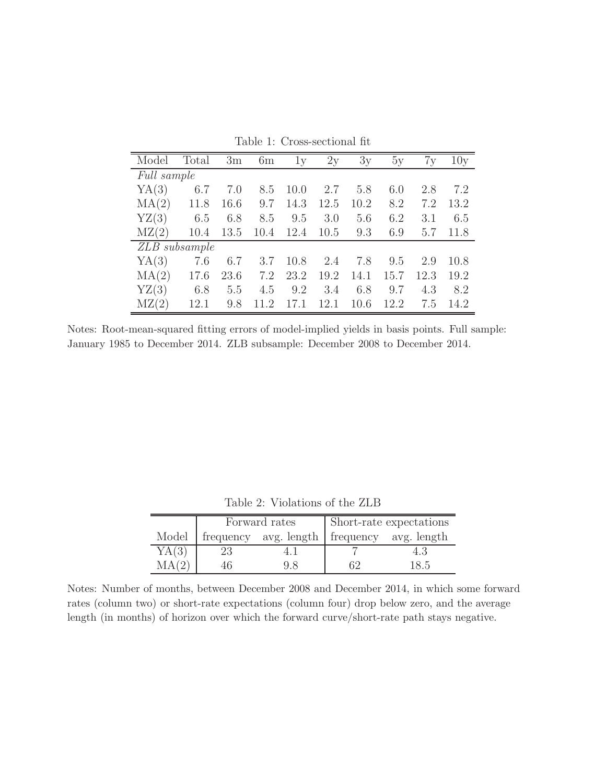| Model              | Total | 3m   | 6m   | 1y   | 2y   | 3y   | 5v   | 7v   | 10y  |
|--------------------|-------|------|------|------|------|------|------|------|------|
| <i>Full sample</i> |       |      |      |      |      |      |      |      |      |
| YA(3)              | 6.7   | 7.0  | 8.5  | 10.0 | 2.7  | 5.8  | 6.0  | 2.8  | 7.2  |
| MA(2)              | 11.8  | 16.6 | 9.7  | 14.3 | 12.5 | 10.2 | 8.2  | 7.2  | 13.2 |
| YZ(3)              | 6.5   | 6.8  | 8.5  | 9.5  | 3.0  | 5.6  | 6.2  | 3.1  | 6.5  |
| MZ(2)              | 10.4  | 13.5 | 10.4 | 12.4 | 10.5 | 9.3  | 6.9  | 5.7  | 11.8 |
| ZLB subsample      |       |      |      |      |      |      |      |      |      |
| YA(3)              | 7.6   | 6.7  | 3.7  | 10.8 | 2.4  | 7.8  | 9.5  | 2.9  | 10.8 |
| MA(2)              | 17.6  | 23.6 | 7.2  | 23.2 | 19.2 | 14.1 | 15.7 | 12.3 | 19.2 |
| YZ(3)              | 6.8   | 5.5  | 4.5  | 9.2  | 3.4  | 6.8  | 9.7  | 4.3  | 8.2  |
| MZ(2)              | 12.1  | 9.8  | 11.2 | 17.1 | 12.1 | 10.6 | 12.2 | 7.5  | 14.2 |

<span id="page-33-0"></span>Table 1: Cross-sectional fit

Notes: Root-mean-squared fitting errors of model-implied yields in basis points. Full sample: January 1985 to December 2014. ZLB subsample: December 2008 to December 2014.

<span id="page-33-1"></span>Table 2: Violations of the ZLB

|       |    | Forward rates                               | Short-rate expectations |      |  |
|-------|----|---------------------------------------------|-------------------------|------|--|
| Model |    | frequency avg. length frequency avg. length |                         |      |  |
| YA(3) | 23 |                                             |                         | 4.3  |  |
| MA(2  | 46 | 9 S                                         | 62                      | 18.5 |  |

Notes: Number of months, between December 2008 and December 2014, in which some forward rates (column two) or short-rate expectations (column four) drop below zero, and the average length (in months) of horizon over which the forward curve/short-rate path stays negative.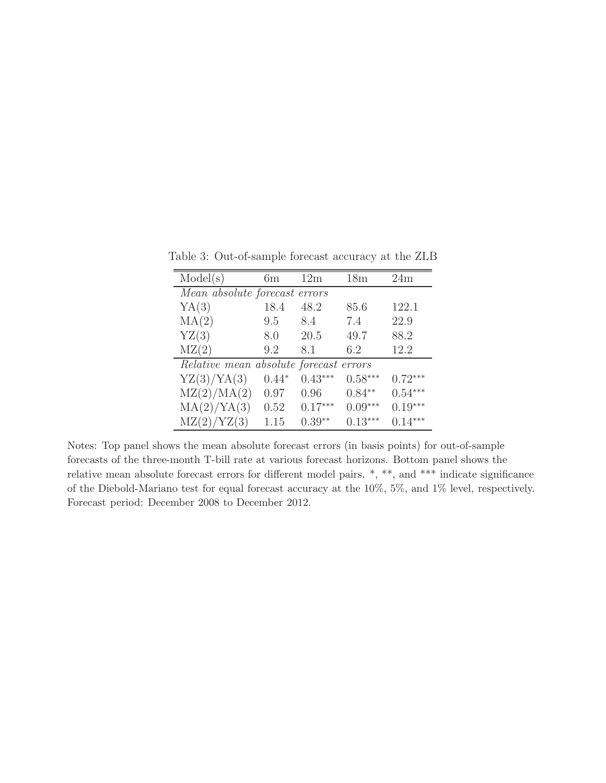<span id="page-34-0"></span>

| Model(s)                               | 6m      | 12m       | 18 <sub>m</sub> | 24m       |  |  |  |  |
|----------------------------------------|---------|-----------|-----------------|-----------|--|--|--|--|
| Mean absolute forecast errors          |         |           |                 |           |  |  |  |  |
| YA(3)                                  | 18.4    | 48.2      | 85.6            | 122.1     |  |  |  |  |
| MA(2)                                  | 9.5     | 8.4       | 7.4             | 22.9      |  |  |  |  |
| YZ(3)                                  | 8.0     | 20.5      | 49.7            | 88.2      |  |  |  |  |
| MZ(2)                                  | 9.2     | 8.1       | 6.2             | 12.2      |  |  |  |  |
| Relative mean absolute forecast errors |         |           |                 |           |  |  |  |  |
| YZ(3)/YA(3)                            | $0.44*$ | $0.43***$ | $0.58***$       | $0.72***$ |  |  |  |  |
| MZ(2)/MA(2)                            | 0.97    | 0.96      | $0.84**$        | $0.54***$ |  |  |  |  |
| MA(2)/YA(3)                            | 0.52    | $0.17***$ | $0.09***$       | $0.19***$ |  |  |  |  |
| MZ(2)/YZ(3)                            | 1.15    | $0.39**$  | $0.13***$       | $0.14***$ |  |  |  |  |

Table 3: Out-of-sample forecast accuracy at the ZLB

Notes: Top panel shows the mean absolute forecast errors (in basis points) for out-of-sample forecasts of the three-month T-bill rate at various forecast horizons. Bottom panel shows the relative mean absolute forecast errors for different model pairs. \*, \*\*, and \*\*\* indicate significance of the Diebold-Mariano test for equal forecast accuracy at the 10%, 5%, and 1% level, respectively. Forecast period: December 2008 to December 2012.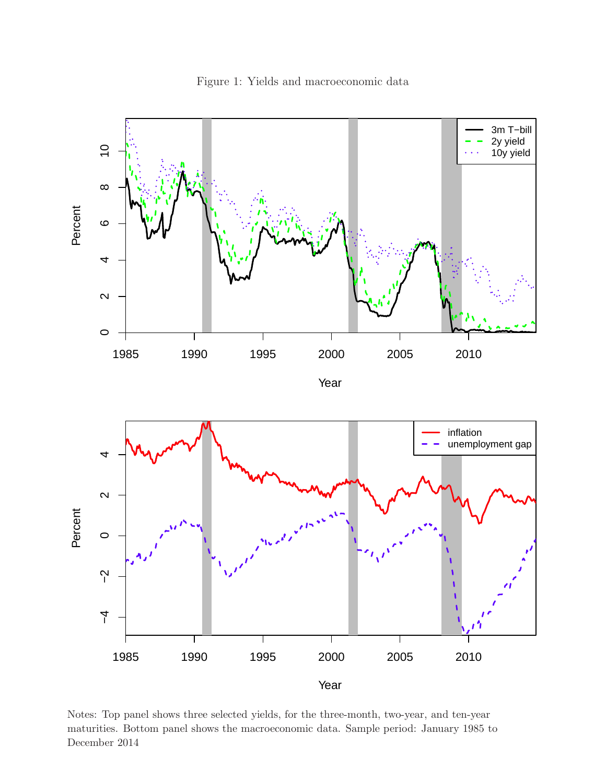<span id="page-35-0"></span>



Notes: Top panel shows three selected yields, for the three-month, two-year, and ten-year maturities. Bottom panel shows the macroeconomic data. Sample period: January 1985 to December 2014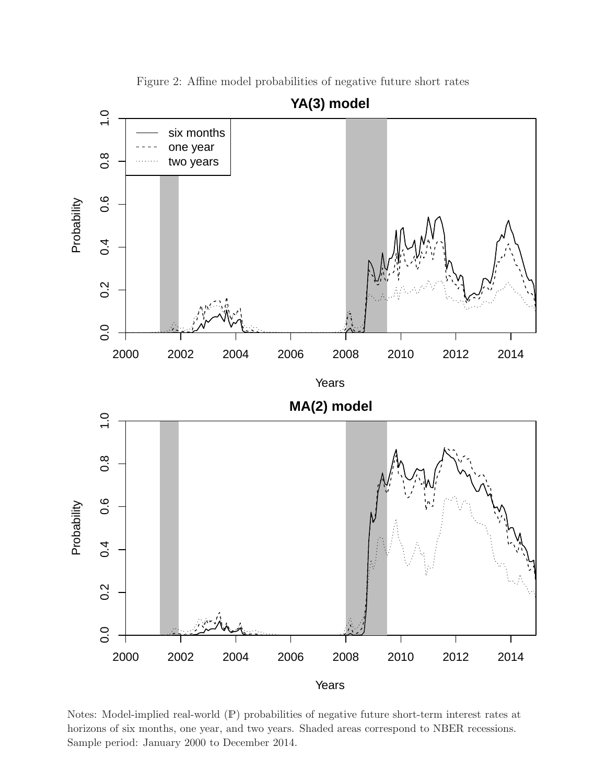

<span id="page-36-0"></span>Figure 2: Affine model probabilities of negative future short rates

Notes: Model-implied real-world (P) probabilities of negative future short-term interest rates at horizons of six months, one year, and two years. Shaded areas correspond to NBER recessions. Sample period: January 2000 to December 2014.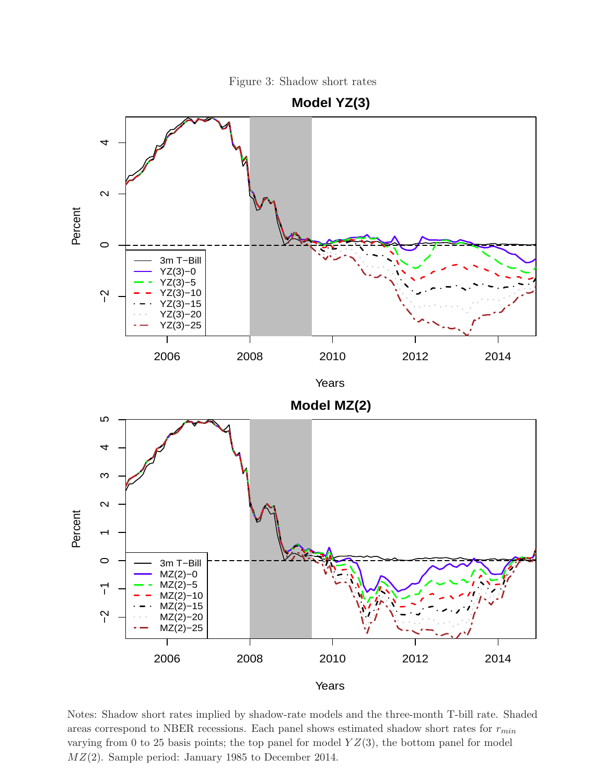<span id="page-37-0"></span>



Notes: Shadow short rates implied by shadow-rate models and the three-month T-bill rate. Shaded areas correspond to NBER recessions. Each panel shows estimated shadow short rates for  $r_{min}$ varying from 0 to 25 basis points; the top panel for model  $YZ(3)$ , the bottom panel for model MZ(2). Sample period: January 1985 to December 2014.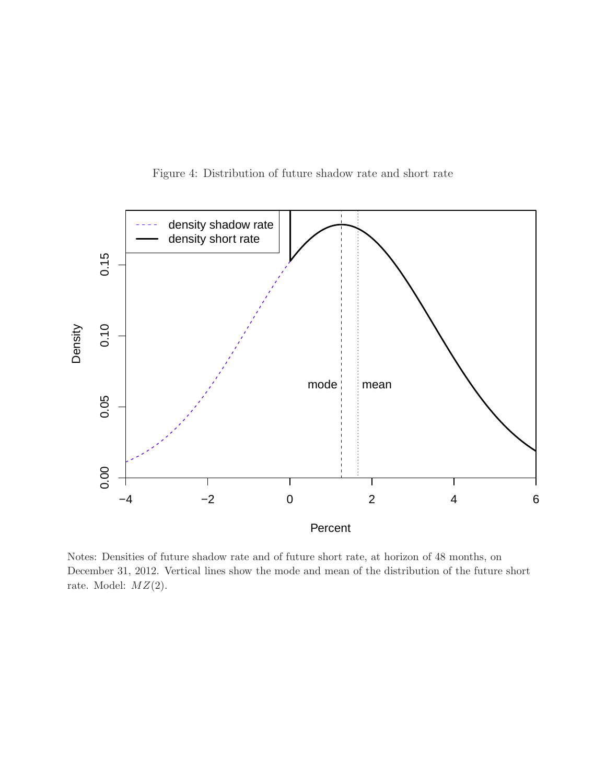

<span id="page-38-0"></span>Figure 4: Distribution of future shadow rate and short rate

Notes: Densities of future shadow rate and of future short rate, at horizon of 48 months, on December 31, 2012. Vertical lines show the mode and mean of the distribution of the future short rate. Model:  $MZ(2)$ .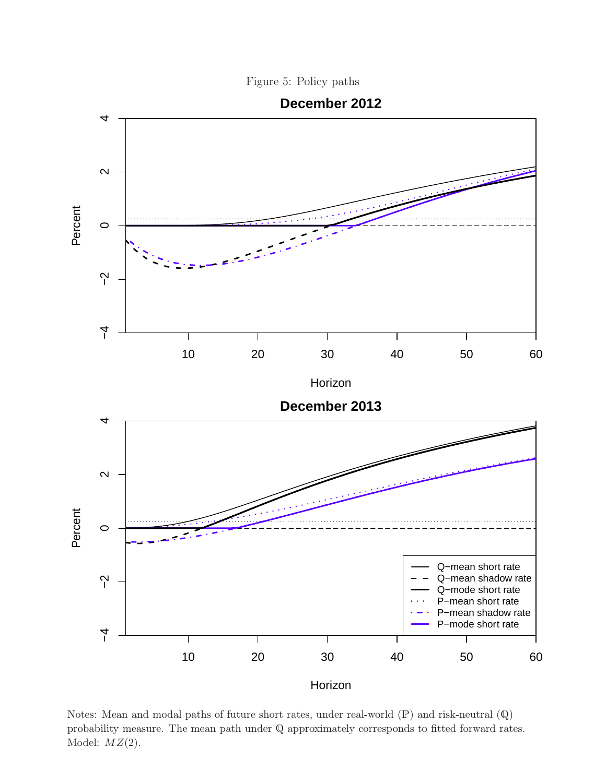<span id="page-39-0"></span>



Notes: Mean and modal paths of future short rates, under real-world (P) and risk-neutral (Q) probability measure. The mean path under Q approximately corresponds to fitted forward rates. Model:  $MZ(2)$ .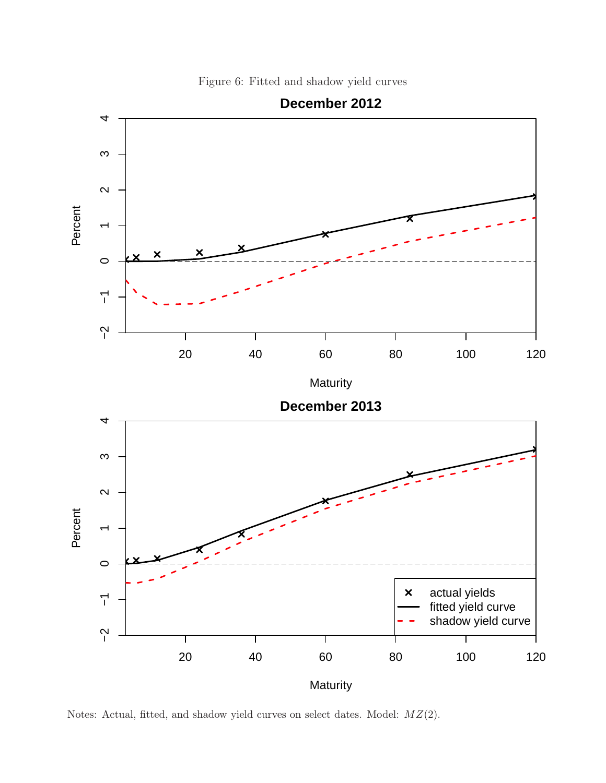Figure 6: Fitted and shadow yield curves



<span id="page-40-0"></span>**December 2012**

Notes: Actual, fitted, and shadow yield curves on select dates. Model:  $MZ(2)$ .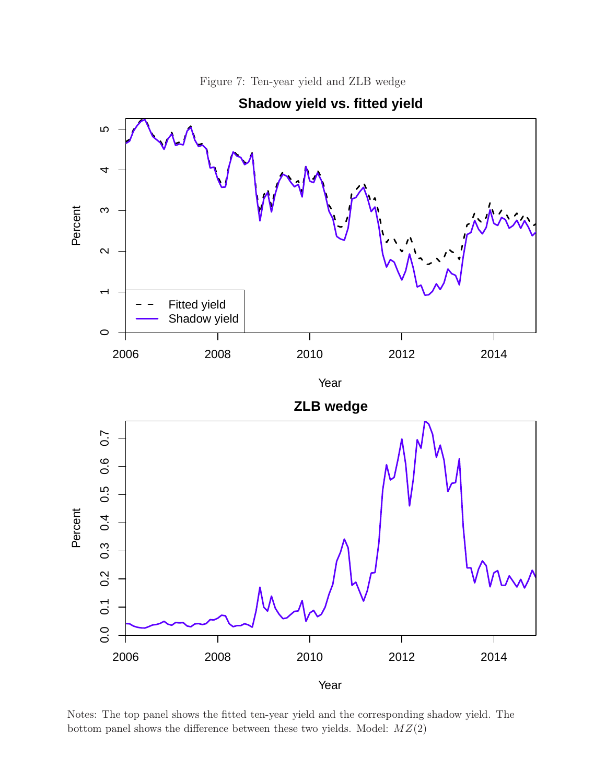

<span id="page-41-0"></span>Figure 7: Ten-year yield and ZLB wedge

Notes: The top panel shows the fitted ten-year yield and the corresponding shadow yield. The bottom panel shows the difference between these two yields. Model:  $MZ(2)$ 

Year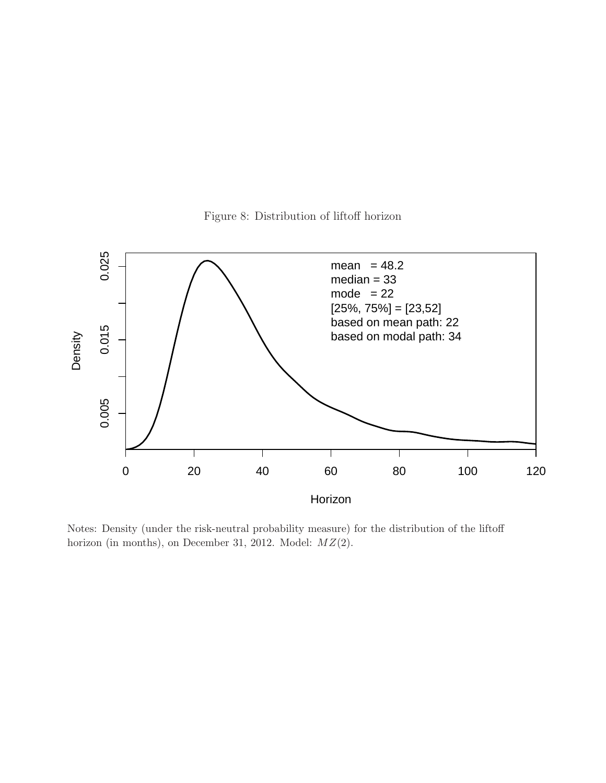

<span id="page-42-0"></span>Figure 8: Distribution of liftoff horizon

Notes: Density (under the risk-neutral probability measure) for the distribution of the liftoff horizon (in months), on December 31, 2012. Model:  $MZ(2)$ .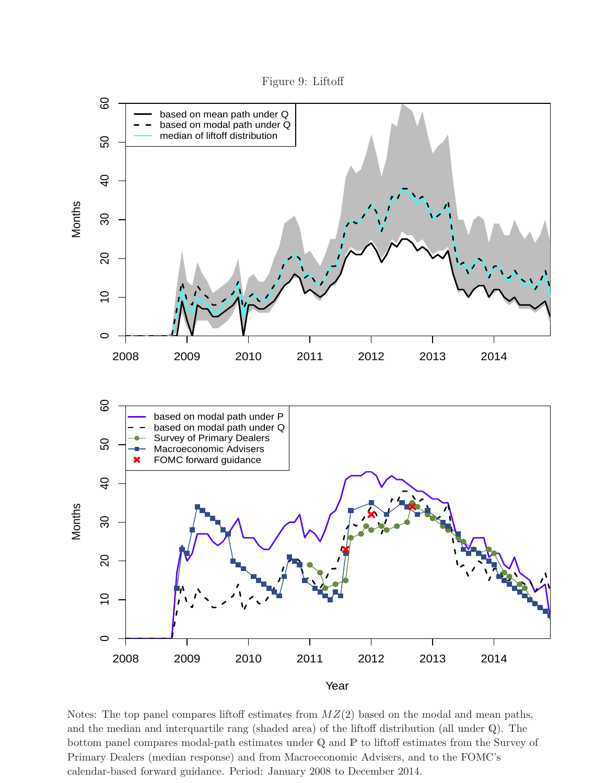<span id="page-43-0"></span>

Notes: The top panel compares liftoff estimates from  $MZ(2)$  based on the modal and mean paths, and the median and interquartile rang (shaded area) of the liftoff distribution (all under Q). The bottom panel compares modal-path estimates under Q and P to liftoff estimates from the Survey of Primary Dealers (median response) and from Macroeconomic Advisers, and to the FOMC's calendar-based forward guidance. Period: January 2008 to December 2014.